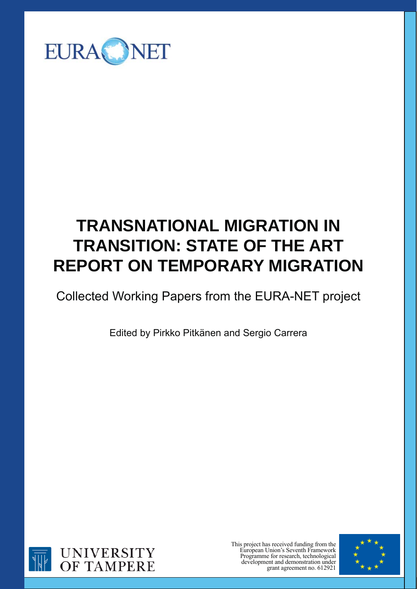

# **TRANSNATIONAL MIGRATION IN TRANSITION: STATE OF THE ART REPORT ON TEMPORARY MIGRATION**

## Collected Working Papers from the EURA-NET project

Edited by Pirkko Pitkänen and Sergio Carrera



This project has received funding from the European Union's Seventh Framework Programme for research, technological development and demonstration under grant agreement no. 612921

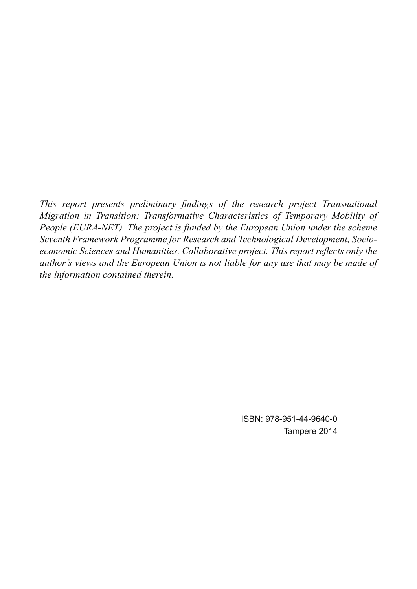*This report presents preliminary findings of the research project Transnational Migration in Transition: Transformative Characteristics of Temporary Mobility of People (EURA-NET). The project is funded by the European Union under the scheme Seventh Framework Programme for Research and Technological Development, Socioeconomic Sciences and Humanities, Collaborative project. This report reflects only the author's views and the European Union is not liable for any use that may be made of the information contained therein.*

> ISBN: 978-951-44-9640-0 Tampere 2014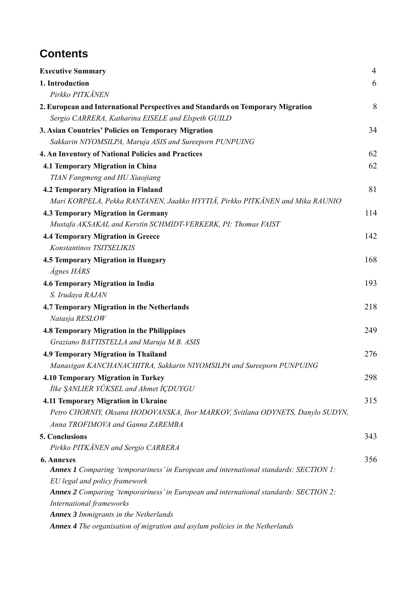## **Contents**

| <b>Executive Summary</b>                                                              | $\overline{4}$ |
|---------------------------------------------------------------------------------------|----------------|
| 1. Introduction                                                                       | 6              |
| Pirkko PITKÄNEN                                                                       |                |
| 2. European and International Perspectives and Standards on Temporary Migration       | 8              |
| Sergio CARRERA, Katharina EISELE and Elspeth GUILD                                    |                |
| 3. Asian Countries' Policies on Temporary Migration                                   | 34             |
| Sakkarin NIYOMSILPA, Maruja ASIS and Sureeporn PUNPUING                               |                |
| 4. An Inventory of National Policies and Practices                                    | 62             |
| <b>4.1 Temporary Migration in China</b>                                               | 62             |
| TIAN Fangmeng and HU Xiaojiang                                                        |                |
| <b>4.2 Temporary Migration in Finland</b>                                             | 81             |
| Mari KORPELA, Pekka RANTANEN, Jaakko HYYTIÄ, Pirkko PITKÄNEN and Mika RAUNIO          |                |
| <b>4.3 Temporary Migration in Germany</b>                                             | 114            |
| Mustafa AKSAKAL and Kerstin SCHMIDT-VERKERK, PI: Thomas FAIST                         |                |
| <b>4.4 Temporary Migration in Greece</b>                                              | 142            |
| Konstantinos TSITSELIKIS                                                              |                |
| <b>4.5 Temporary Migration in Hungary</b>                                             | 168            |
| Ágnes HÁRS                                                                            |                |
| 4.6 Temporary Migration in India                                                      | 193            |
| S. Irudaya RAJAN                                                                      |                |
| 4.7 Temporary Migration in the Netherlands                                            | 218            |
| Natasja RESLOW                                                                        |                |
| <b>4.8 Temporary Migration in the Philippines</b>                                     | 249            |
| Graziano BATTISTELLA and Maruja M.B. ASIS                                             |                |
| <b>4.9 Temporary Migration in Thailand</b>                                            | 276            |
| Manasigan KANCHANACHITRA, Sakkarin NIYOMSILPA and Sureeporn PUNPUING                  |                |
| 4.10 Temporary Migration in Turkey                                                    | 298            |
| İlke ŞANLIER YÜKSEL and Ahmet İÇDUYGU                                                 |                |
| 4.11 Temporary Migration in Ukraine                                                   | 315            |
| Petro CHORNIY, Oksana HODOVANSKA, Ihor MARKOV, Svitlana ODYNETS, Danylo SUDYN,        |                |
| Anna TROFIMOVA and Ganna ZAREMBA                                                      |                |
| 5. Conclusions                                                                        | 343            |
| Pirkko PITKÄNEN and Sergio CARRERA                                                    |                |
| <b>6. Annexes</b>                                                                     | 356            |
| Annex 1 Comparing 'temporariness' in European and international standards: SECTION 1: |                |
| EU legal and policy framework                                                         |                |
| Annex 2 Comparing 'temporariness' in European and international standards: SECTION 2: |                |
| International frameworks                                                              |                |
| Annex 3 Immigrants in the Netherlands                                                 |                |
| Annex 4 The organisation of migration and asylum policies in the Netherlands          |                |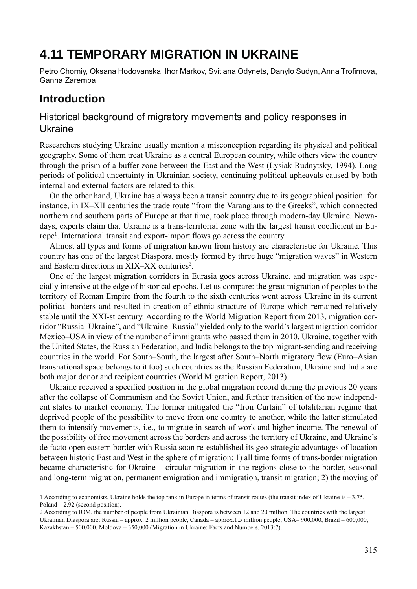## **4.11 TEMPORARY MIGRATION IN UKRAINE**

Petro Chorniy, Oksana Hodovanska, Ihor Markov, Svitlana Odynets, Danylo Sudyn, Anna Trofimova, Ganna Zaremba

### **Introduction**

#### Historical background of migratory movements and policy responses in Ukraine

Researchers studying Ukraine usually mention a misconception regarding its physical and political geography. Some of them treat Ukraine as a central European country, while others view the country through the prism of a buffer zone between the East and the West (Lysiak-Rudnytsky, 1994). Long periods of political uncertainty in Ukrainian society, continuing political upheavals caused by both internal and external factors are related to this.

On the other hand, Ukraine has always been a transit country due to its geographical position: for instance, in IX–XII centuries the trade route "from the Varangians to the Greeks", which connected northern and southern parts of Europe at that time, took place through modern-day Ukraine. Nowadays, experts claim that Ukraine is a trans-territorial zone with the largest transit coefficient in Europe<sup>1</sup>. International transit and export-import flows go across the country.

Almost all types and forms of migration known from history are characteristic for Ukraine. This country has one of the largest Diaspora, mostly formed by three huge "migration waves" in Western and Eastern directions in XIX-XX centuries<sup>2</sup>.

One of the largest migration corridors in Eurasia goes across Ukraine, and migration was especially intensive at the edge of historical epochs. Let us compare: the great migration of peoples to the territory of Roman Empire from the fourth to the sixth centuries went across Ukraine in its current political borders and resulted in creation of ethnic structure of Europe which remained relatively stable until the XXI-st century. According to the World Migration Report from 2013, migration corridor "Russia–Ukraine", and "Ukraine–Russia" yielded only to the world's largest migration corridor Mexico–USA in view of the number of immigrants who passed them in 2010. Ukraine, together with the United States, the Russian Federation, and India belongs to the top migrant-sending and receiving countries in the world. For South–South, the largest after South–North migratory flow (Euro–Asian transnational space belongs to it too) such countries as the Russian Federation, Ukraine and India are both major donor and recipient countries (World Migration Report, 2013).

Ukraine received a specified position in the global migration record during the previous 20 years after the collapse of Communism and the Soviet Union, and further transition of the new independent states to market economy. The former mitigated the "Iron Curtain" of totalitarian regime that deprived people of the possibility to move from one country to another, while the latter stimulated them to intensify movements, i.e., to migrate in search of work and higher income. The renewal of the possibility of free movement across the borders and across the territory of Ukraine, and Ukraine's de facto open eastern border with Russia soon re-established its geo-strategic advantages of location between historic East and West in the sphere of migration: 1) all time forms of trans-border migration became characteristic for Ukraine – circular migration in the regions close to the border, seasonal and long-term migration, permanent emigration and immigration, transit migration; 2) the moving of

<sup>1</sup> According to economists, Ukraine holds the top rank in Europe in terms of transit routes (the transit index of Ukraine is – 3.75, Poland – 2.92 (second position).

<sup>2</sup> According to IOM, the number of people from Ukrainian Diaspora is between 12 and 20 million. The countries with the largest Ukrainian Diaspora are: Russia – approx. 2 million people, Canada – approx.1.5 million people, USA– 900,000, Brazil – 600,000, Kazakhstan – 500,000, Moldova – 350,000 (Migration in Ukraine: Facts and Numbers, 2013:7).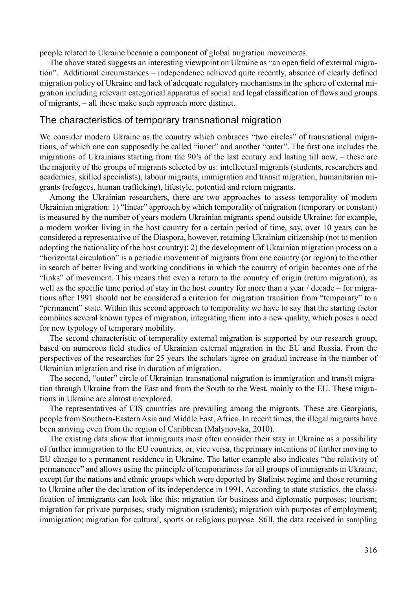people related to Ukraine became a component of global migration movements.

The above stated suggests an interesting viewpoint on Ukraine as "an open field of external migration". Additional circumstances – independence achieved quite recently, absence of clearly defined migration policy of Ukraine and lack of adequate regulatory mechanisms in the sphere of external migration including relevant categorical apparatus of social and legal classification of flows and groups of migrants, – all these make such approach more distinct.

#### The characteristics of temporary transnational migration

We consider modern Ukraine as the country which embraces "two circles" of transnational migrations, of which one can supposedly be called "inner" and another "outer". The first one includes the migrations of Ukrainians starting from the 90's of the last century and lasting till now, – these are the majority of the groups of migrants selected by us: intellectual migrants (students, researchers and academics, skilled specialists), labour migrants, immigration and transit migration, humanitarian migrants (refugees, human trafficking), lifestyle, potential and return migrants.

Among the Ukrainian researchers, there are two approaches to assess temporality of modern Ukrainian migration: 1) "linear" approach by which temporality of migration (temporary or constant) is measured by the number of years modern Ukrainian migrants spend outside Ukraine: for example, a modern worker living in the host country for a certain period of time, say, over 10 years can be considered a representative of the Diaspora, however, retaining Ukrainian citizenship (not to mention adopting the nationality of the host country); 2) the development of Ukrainian migration process on a "horizontal circulation" is a periodic movement of migrants from one country (or region) to the other in search of better living and working conditions in which the country of origin becomes one of the "links" of movement. This means that even a return to the country of origin (return migration), as well as the specific time period of stay in the host country for more than a year  $/$  decade – for migrations after 1991 should not be considered a criterion for migration transition from "temporary" to a "permanent" state. Within this second approach to temporality we have to say that the starting factor combines several known types of migration, integrating them into a new quality, which poses a need for new typology of temporary mobility.

The second characteristic of temporality external migration is supported by our research group, based on numerous field studies of Ukrainian external migration in the EU and Russia. From the perspectives of the researches for 25 years the scholars agree on gradual increase in the number of Ukrainian migration and rise in duration of migration.

The second, "outer" circle of Ukrainian transnational migration is immigration and transit migration through Ukraine from the East and from the South to the West, mainly to the EU. These migrations in Ukraine are almost unexplored.

The representatives of CIS countries are prevailing among the migrants. These are Georgians, people from Southern-Eastern Asia and Middle East, Africa. In recent times, the illegal migrants have been arriving even from the region of Caribbean (Malynovska, 2010).

The existing data show that immigrants most often consider their stay in Ukraine as a possibility of further immigration to the EU countries, or, vice versa, the primary intentions of further moving to EU change to a permanent residence in Ukraine. The latter example also indicates "the relativity of permanence" and allows using the principle of temporariness for all groups of immigrants in Ukraine, except for the nations and ethnic groups which were deported by Stalinist regime and those returning to Ukraine after the declaration of its independence in 1991. According to state statistics, the classification of immigrants can look like this: migration for business and diplomatic purposes; tourism; migration for private purposes; study migration (students); migration with purposes of employment; immigration; migration for cultural, sports or religious purpose. Still, the data received in sampling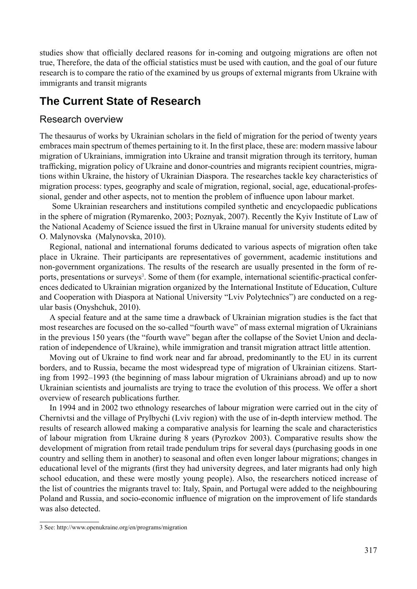studies show that officially declared reasons for in-coming and outgoing migrations are often not true, Therefore, the data of the official statistics must be used with caution, and the goal of our future research is to compare the ratio of the examined by us groups of external migrants from Ukraine with immigrants and transit migrants

## **The Current State of Research**

#### Research overview

The thesaurus of works by Ukrainian scholars in the field of migration for the period of twenty years embraces main spectrum of themes pertaining to it. In the first place, these are: modern massive labour migration of Ukrainians, immigration into Ukraine and transit migration through its territory, human trafficking, migration policy of Ukraine and donor-countries and migrants recipient countries, migrations within Ukraine, the history of Ukrainian Diaspora. The researches tackle key characteristics of migration process: types, geography and scale of migration, regional, social, age, educational-professional, gender and other aspects, not to mention the problem of influence upon labour market.

 Some Ukrainian researchers and institutions compiled synthetic and encyclopaedic publications in the sphere of migration (Rymarenko, 2003; Poznyak, 2007). Recently the Kyiv Institute of Law of the National Academy of Science issued the first in Ukraine manual for university students edited by O. Malynovska (Malynovska, 2010).

Regional, national and international forums dedicated to various aspects of migration often take place in Ukraine. Their participants are representatives of government, academic institutions and non-government organizations. The results of the research are usually presented in the form of reports, presentations or surveys<sup>3</sup>. Some of them (for example, international scientific-practical conferences dedicated to Ukrainian migration organized by the International Institute of Education, Culture and Cooperation with Diaspora at National University "Lviv Polytechnics") are conducted on a regular basis (Оnyshchuk, 2010).

A special feature and at the same time a drawback of Ukrainian migration studies is the fact that most researches are focused on the so-called "fourth wave" of mass external migration of Ukrainians in the previous 150 years (the "fourth wave" began after the collapse of the Soviet Union and declaration of independence of Ukraine), while immigration and transit migration attract little attention.

Moving out of Ukraine to find work near and far abroad, predominantly to the EU in its current borders, and to Russia, became the most widespread type of migration of Ukrainian citizens. Starting from 1992–1993 (the beginning of mass labour migration of Ukrainians abroad) and up to now Ukrainian scientists and journalists are trying to trace the evolution of this process. We offer a short overview of research publications further.

In 1994 and in 2002 two ethnology researches of labour migration were carried out in the city of Chernivtsi and the village of Prylbychi (Lviv region) with the use of in-depth interview method. The results of research allowed making a comparative analysis for learning the scale and characteristics of labour migration from Ukraine during 8 years (Pyrozkov 2003). Comparative results show the development of migration from retail trade pendulum trips for several days (purchasing goods in one country and selling them in another) to seasonal and often even longer labour migrations; changes in educational level of the migrants (first they had university degrees, and later migrants had only high school education, and these were mostly young people). Also, the researchers noticed increase of the list of countries the migrants travel to: Italy, Spain, and Portugal were added to the neighbouring Poland and Russia, and socio-economic influence of migration on the improvement of life standards was also detected.

<sup>3</sup> See: http://www.openukraine.org/en/programs/migration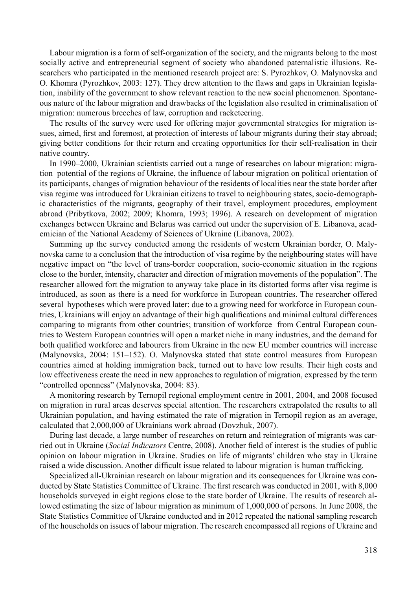Labour migration is a form of self-organization of the society, and the migrants belong to the most socially active and entrepreneurial segment of society who abandoned paternalistic illusions. Researchers who participated in the mentioned research project are: S. Pyrozhkov, O. Malynovska and O. Khomra (Pyrozhkov, 2003: 127). They drew attention to the flaws and gaps in Ukrainian legislation, inability of the government to show relevant reaction to the new social phenomenon. Spontaneous nature of the labour migration and drawbacks of the legislation also resulted in criminalisation of migration: numerous breeches of law, corruption and racketeering.

The results of the survey were used for offering major governmental strategies for migration issues, aimed, first and foremost, at protection of interests of labour migrants during their stay abroad; giving better conditions for their return and creating opportunities for their self-realisation in their native country.

In 1990–2000, Ukrainian scientists carried out a range of researches on labour migration: migration potential of the regions of Ukraine, the influence of labour migration on political orientation of its participants, changes of migration behaviour of the residents of localities near the state border after visa regime was introduced for Ukrainian citizens to travel to neighbouring states, socio-demographic characteristics of the migrants, geography of their travel, employment procedures, employment abroad (Pribytkova, 2002; 2009; Khomra, 1993; 1996). A research on development of migration exchanges between Ukraine and Belarus was carried out under the supervision of E. Libanova, academician of the National Academy of Sciences of Ukraine (Libanova, 2002).

Summing up the survey conducted among the residents of western Ukrainian border, O. Malynovska came to a conclusion that the introduction of visa regime by the neighbouring states will have negative impact on "the level of trans-border cooperation, socio-economic situation in the regions close to the border, intensity, character and direction of migration movements of the population". The researcher allowed fort the migration to anyway take place in its distorted forms after visa regime is introduced, as soon as there is a need for workforce in European countries. The researcher offered several hypotheses which were proved later: due to a growing need for workforce in European countries, Ukrainians will enjoy an advantage of their high qualifications and minimal cultural differences comparing to migrants from other countries; transition of workforce from Central European countries to Western European countries will open a market niche in many industries, and the demand for both qualified workforce and labourers from Ukraine in the new EU member countries will increase (Malynovska, 2004: 151–152). O. Malynovska stated that state control measures from European countries aimed at holding immigration back, turned out to have low results. Their high costs and low effectiveness create the need in new approaches to regulation of migration, expressed by the term "controlled openness" (Malynovska, 2004: 83).

A monitoring research by Ternopil regional employment centre in 2001, 2004, and 2008 focused on migration in rural areas deserves special attention. The researchers extrapolated the results to all Ukrainian population, and having estimated the rate of migration in Ternopil region as an average, calculated that 2,000,000 of Ukrainians work abroad (Dovzhuk, 2007).

During last decade, a large number of researches on return and reintegration of migrants was carried out in Ukraine (*Social Indicators* Centre, 2008). Another field of interest is the studies of public opinion on labour migration in Ukraine. Studies on life of migrants' children who stay in Ukraine raised a wide discussion. Another difficult issue related to labour migration is human trafficking.

Specialized all-Ukrainian research on labour migration and its consequences for Ukraine was conducted by State Statistics Committee of Ukraine. The first research was conducted in 2001, with 8,000 households surveyed in eight regions close to the state border of Ukraine. The results of research allowed estimating the size of labour migration as minimum of 1,000,000 of persons. In June 2008, the State Statistics Committee of Ukraine conducted and in 2012 repeated the national sampling research of the households on issues of labour migration. The research encompassed all regions of Ukraine and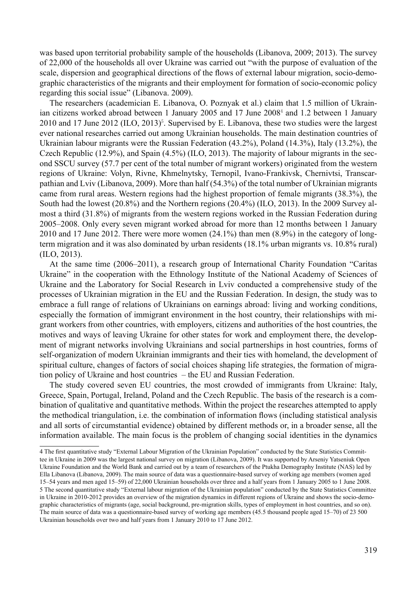was based upon territorial probability sample of the households (Libanova, 2009; 2013). The survey of 22,000 of the households all over Ukraine was carried out "with the purpose of evaluation of the scale, dispersion and geographical directions of the flows of external labour migration, socio-demographic characteristics of the migrants and their employment for formation of socio-economic policy regarding this social issue" (Libanova. 2009).

The researchers (academician E. Libanova, О. Poznyak et al.) claim that 1.5 million of Ukrainian citizens worked abroad between 1 January 2005 and 17 June 2008<sup>4</sup> and 1.2 between 1 January 2010 and 17 June 2012 (ILO, 2013)<sup>5</sup>. Supervised by E. Libanova, these two studies were the largest ever national researches carried out among Ukrainian households. The main destination countries of Ukrainian labour migrants were the Russian Federation (43.2%), Poland (14.3%), Italy (13.2%), the Czech Republic (12.9%), and Spain (4.5%) (ILO, 2013). The majority of labour migrants in the second SSCU survey (57.7 per cent of the total number of migrant workers) originated from the western regions of Ukraine: Volyn, Rivne, Khmelnytsky, Ternopil, Ivano-Frankivsk, Chernivtsi, Transcarpathian and Lviv (Libanova, 2009). More than half (54.3%) of the total number of Ukrainian migrants came from rural areas. Western regions had the highest proportion of female migrants (38.3%), the South had the lowest (20.8%) and the Northern regions (20.4%) (ILO, 2013). In the 2009 Survey almost a third (31.8%) of migrants from the western regions worked in the Russian Federation during 2005–2008. Only every seven migrant worked abroad for more than 12 months between 1 January 2010 and 17 June 2012. There were more women (24.1%) than men (8.9%) in the category of longterm migration and it was also dominated by urban residents (18.1% urban migrants vs. 10.8% rural) (ILO, 2013).

At the same time (2006–2011), a research group of International Charity Foundation "Caritas Ukraine" in the cooperation with the Ethnology Institute of the National Academy of Sciences of Ukraine and the Laboratory for Social Research in Lviv conducted a comprehensive study of the processes of Ukrainian migration in the EU and the Russian Federation. In design, the study was to embrace a full range of relations of Ukrainians on earnings abroad: living and working conditions, especially the formation of immigrant environment in the host country, their relationships with migrant workers from other countries, with employers, citizens and authorities of the host countries, the motives and ways of leaving Ukraine for other states for work and employment there, the development of migrant networks involving Ukrainians and social partnerships in host countries, forms of self-organization of modern Ukrainian immigrants and their ties with homeland, the development of spiritual culture, changes of factors of social choices shaping life strategies, the formation of migration policy of Ukraine and host countries – the EU and Russian Federation.

The study covered seven EU countries, the most crowded of immigrants from Ukraine: Italy, Greece, Spain, Portugal, Ireland, Poland and the Czech Republic. The basis of the research is a combination of qualitative and quantitative methods. Within the project the researches attempted to apply the methodical triangulation, i.e. the combination of information flows (including statistical analysis and all sorts of circumstantial evidence) obtained by different methods or, in a broader sense, all the information available. The main focus is the problem of changing social identities in the dynamics

<sup>4</sup> The first quantitative study "External Labour Migration of the Ukrainian Population" conducted by the State Statistics Committee in Ukraine in 2009 was the largest national survey on migration (Libanova, 2009). It was supported by Arseniy Yatseniuk Open Ukraine Foundation and the World Bank and carried out by a team of researchers of the Ptukha Demography Institute (NAS) led by Ella Libanova (Libanova, 2009). The main source of data was a questionnaire-based survey of working age members (women aged 15–54 years and men aged 15–59) of 22,000 Ukrainian households over three and a half years from 1 January 2005 to 1 June 2008. 5 The second quantitative study "External labour migration of the Ukrainian population" conducted by the State Statistics Committee in Ukraine in 2010-2012 provides an overview of the migration dynamics in different regions of Ukraine and shows the socio-demographic characteristics of migrants (age, social background, pre-migration skills, types of employment in host countries, and so on). The main source of data was a questionnaire-based survey of working age members (45.5 thousand people aged 15–70) of 23 500 Ukrainian households over two and half years from 1 January 2010 to 17 June 2012.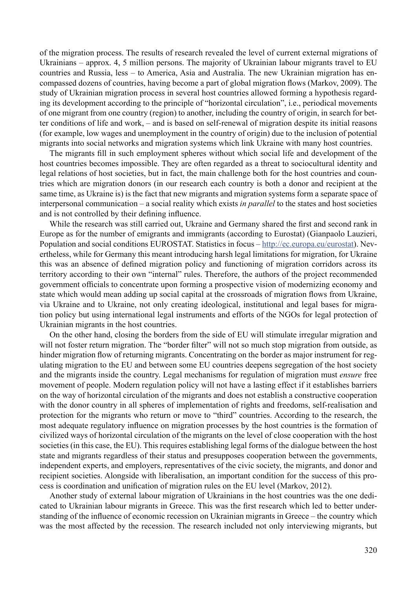of the migration process. The results of research revealed the level of current external migrations of Ukrainians – approx. 4, 5 million persons. The majority of Ukrainian labour migrants travel to EU countries and Russia, less – to America, Asia and Australia. The new Ukrainian migration has encompassed dozens of countries, having become a part of global migration flows (Markov, 2009). The study of Ukrainian migration process in several host countries allowed forming a hypothesis regarding its development according to the principle of "horizontal circulation", i.e., periodical movements of one migrant from one country (region) to another, including the country of origin, in search for better conditions of life and work, – and is based on self-renewal of migration despite its initial reasons (for example, low wages and unemployment in the country of origin) due to the inclusion of potential migrants into social networks and migration systems which link Ukraine with many host countries.

The migrants fill in such employment spheres without which social life and development of the host countries becomes impossible. They are often regarded as a threat to sociocultural identity and legal relations of host societies, but in fact, the main challenge both for the host countries and countries which are migration donors (in our research each country is both a donor and recipient at the same time, as Ukraine is) is the fact that new migrants and migration systems form a separate space of interpersonal communication – a social reality which exists *in parallel* to the states and host societies and is not controlled by their defining influence.

While the research was still carried out, Ukraine and Germany shared the first and second rank in Europe as for the number of emigrants and immigrants (according to Eurostat) (Gianpaolo Lauzieri, Population and social conditions EUROSTAT. Statistics in focus – http://ec.europa.eu/eurostat). Nevertheless, while for Germany this meant introducing harsh legal limitations for migration, for Ukraine this was an absence of defined migration policy and functioning of migration corridors across its territory according to their own "internal" rules. Therefore, the authors of the project recommended government officials to concentrate upon forming a prospective vision of modernizing economy and state which would mean adding up social capital at the crossroads of migration flows from Ukraine, via Ukraine and to Ukraine, not only creating ideological, institutional and legal bases for migration policy but using international legal instruments and efforts of the NGOs for legal protection of Ukrainian migrants in the host countries.

On the other hand, closing the borders from the side of EU will stimulate irregular migration and will not foster return migration. The "border filter" will not so much stop migration from outside, as hinder migration flow of returning migrants. Concentrating on the border as major instrument for regulating migration to the EU and between some EU countries deepens segregation of the host society and the migrants inside the country. Legal mechanisms for regulation of migration must *ensure* free movement of people. Modern regulation policy will not have a lasting effect if it establishes barriers on the way of horizontal circulation of the migrants and does not establish a constructive cooperation with the donor country in all spheres of implementation of rights and freedoms, self-realisation and protection for the migrants who return or move to "third" countries. According to the research, the most adequate regulatory influence on migration processes by the host countries is the formation of civilized ways of horizontal circulation of the migrants on the level of close cooperation with the host societies (in this case, the EU). This requires establishing legal forms of the dialogue between the host state and migrants regardless of their status and presupposes cooperation between the governments, independent experts, and employers, representatives of the civic society, the migrants, and donor and recipient societies. Alongside with liberalisation, an important condition for the success of this process is coordination and unification of migration rules on the EU level (Markov, 2012).

Another study of external labour migration of Ukrainians in the host countries was the one dedicated to Ukrainian labour migrants in Greece. This was the first research which led to better understanding of the influence of economic recession on Ukrainian migrants in Greece – the country which was the most affected by the recession. The research included not only interviewing migrants, but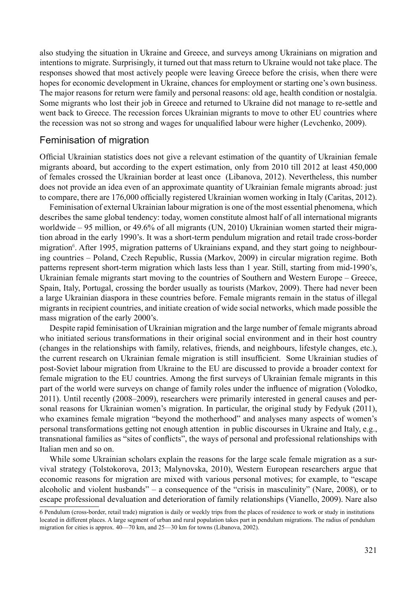also studying the situation in Ukraine and Greece, and surveys among Ukrainians on migration and intentions to migrate. Surprisingly, it turned out that mass return to Ukraine would not take place. The responses showed that most actively people were leaving Greece before the crisis, when there were hopes for economic development in Ukraine, chances for employment or starting one's own business. The major reasons for return were family and personal reasons: old age, health condition or nostalgia. Some migrants who lost their job in Greece and returned to Ukraine did not manage to re-settle and went back to Greece. The recession forces Ukrainian migrants to move to other EU countries where the recession was not so strong and wages for unqualified labour were higher (Levchenko, 2009).

#### Feminisation of migration

Official Ukrainian statistics does not give a relevant estimation of the quantity of Ukrainian female migrants aboard, but according to the expert estimation, only from 2010 till 2012 at least 450,000 of females crossed the Ukrainian border at least once (Libanova, 2012). Nevertheless, this number does not provide an idea even of an approximate quantity of Ukrainian female migrants abroad: just to compare, there are 176,000 officially registered Ukrainian women working in Italy (Caritas, 2012).

Feminisation of external Ukrainian labour migration is one of the most essential phenomena, which describes the same global tendency: today, women constitute almost half of all international migrants worldwide – 95 million, or 49.6% of all migrants (UN, 2010) Ukrainian women started their migration abroad in the early 1990's. It was a short-term pendulum migration and retail trade cross-border migration<sup>6</sup>. After 1995, migration patterns of Ukrainians expand, and they start going to neighbouring countries – Poland, Czech Republic, Russia (Markov, 2009) in circular migration regime. Both patterns represent short-term migration which lasts less than 1 year. Still, starting from mid-1990's, Ukrainian female migrants start moving to the countries of Southern and Western Europe – Greece, Spain, Italy, Portugal, crossing the border usually as tourists (Markov, 2009). There had never been a large Ukrainian diaspora in these countries before. Female migrants remain in the status of illegal migrants in recipient countries, and initiate creation of wide social networks, which made possible the mass migration of the early 2000's.

Despite rapid feminisation of Ukrainian migration and the large number of female migrants abroad who initiated serious transformations in their original social environment and in their host country (changes in the relationships with family, relatives, friends, and neighbours, lifestyle changes, etc.), the current research on Ukrainian female migration is still insufficient. Some Ukrainian studies of post-Soviet labour migration from Ukraine to the EU are discussed to provide a broader context for female migration to the EU countries. Among the first surveys of Ukrainian female migrants in this part of the world were surveys on change of family roles under the influence of migration (Volodko, 2011). Until recently (2008–2009), researchers were primarily interested in general causes and personal reasons for Ukrainian women's migration. In particular, the original study by Fedyuk (2011), who examines female migration "beyond the motherhood" and analyses many aspects of women's personal transformations getting not enough attention in public discourses in Ukraine and Italy, e.g., transnational families as "sites of conflicts", the ways of personal and professional relationships with Italian men and so on.

While some Ukrainian scholars explain the reasons for the large scale female migration as a survival strategy (Tolstokorova, 2013; Malynovska, 2010), Western European researchers argue that economic reasons for migration are mixed with various personal motives; for example, to "escape alcoholic and violent husbands" – a consequence of the "crisis in masculinity" (Nare, 2008), or to escape professional devaluation and deterioration of family relationships (Vianello, 2009). Nare also

<sup>6</sup> Pendulum (cross-border, retail trade) migration is daily or weekly trips from the places of residence to work or study in institutions located in different places. A large segment of urban and rural population takes part in pendulum migrations. The radius of pendulum migration for cities is approx. 40—70 km, and 25—30 km for towns (Libanova, 2002).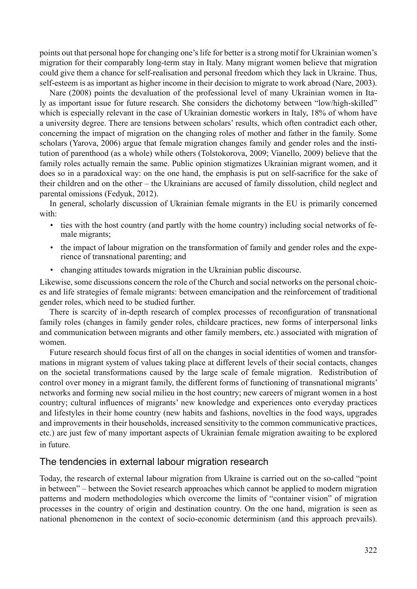points out that personal hope for changing one's life for better is a strong motif for Ukrainian women's migration for their comparably long-term stay in Italy. Many migrant women believe that migration could give them a chance for self-realisation and personal freedom which they lack in Ukraine. Thus, self-esteem is as important as higher income in their decision to migrate to work abroad (Nare, 2003).

Nare (2008) points the devaluation of the professional level of many Ukrainian women in Italy as important issue for future research. She considers the dichotomy between "low/high-skilled" which is especially relevant in the case of Ukrainian domestic workers in Italy, 18% of whom have a university degree. There are tensions between scholars' results, which often contradict each other, concerning the impact of migration on the changing roles of mother and father in the family. Some scholars (Yarova, 2006) argue that female migration changes family and gender roles and the institution of parenthood (as a whole) while others (Tolstokorova, 2009; Vianello, 2009) believe that the family roles actually remain the same. Public opinion stigmatizes Ukrainian migrant women, and it does so in a paradoxical way: on the one hand, the emphasis is put on self-sacrifice for the sake of their children and on the other – the Ukrainians are accused of family dissolution, child neglect and parental omissions (Fedyuk, 2012).

In general, scholarly discussion of Ukrainian female migrants in the EU is primarily concerned with:

- ties with the host country (and partly with the home country) including social networks of female migrants;
- the impact of labour migration on the transformation of family and gender roles and the experience of transnational parenting; and
- changing attitudes towards migration in the Ukrainian public discourse.

Likewise, some discussions concern the role of the Church and social networks on the personal choices and life strategies of female migrants: between emancipation and the reinforcement of traditional gender roles, which need to be studied further.

There is scarcity of in-depth research of complex processes of reconfiguration of transnational family roles (changes in family gender roles, childcare practices, new forms of interpersonal links and communication between migrants and other family members, etc.) associated with migration of women.

Future research should focus first of all on the changes in social identities of women and transformations in migrant system of values taking place at different levels of their social contacts, changes on the societal transformations caused by the large scale of female migration. Redistribution of control over money in a migrant family, the different forms of functioning of transnational migrants' networks and forming new social milieu in the host country; new careers of migrant women in a host country; cultural influences of migrants' new knowledge and experiences onto everyday practices and lifestyles in their home country (new habits and fashions, novelties in the food ways, upgrades and improvements in their households, increased sensitivity to the common communicative practices, etc.) are just few of many important aspects of Ukrainian female migration awaiting to be explored in future.

#### The tendencies in external labour migration research

Today, the research of external labour migration from Ukraine is carried out on the so-called "point in between" – between the Soviet research approaches which cannot be applied to modern migration patterns and modern methodologies which overcome the limits of "container vision" of migration processes in the country of origin and destination country. On the one hand, migration is seen as national phenomenon in the context of socio-economic determinism (and this approach prevails).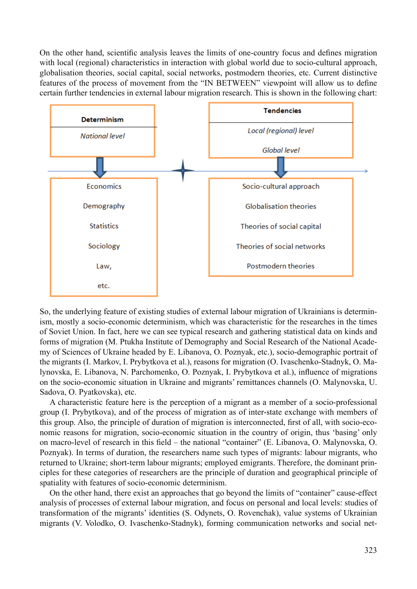On the other hand, scientific analysis leaves the limits of one-country focus and defines migration with local (regional) characteristics in interaction with global world due to socio-cultural approach, globalisation theories, social capital, social networks, postmodern theories, etc. Current distinctive features of the process of movement from the "IN BETWEEN" viewpoint will allow us to define certain further tendencies in external labour migration research. This is shown in the following chart:



So, the underlying feature of existing studies of external labour migration of Ukrainians is determinism, mostly a socio-economic determinism, which was characteristic for the researches in the times of Soviet Union. In fact, here we can see typical research and gathering statistical data on kinds and forms of migration (M. Ptukha Institute of Demography and Social Research of the National Academy of Sciences of Ukraine headed by E. Libanova, O. Poznyak, etc.), socio-demographic portrait of the migrants (I. Markov, I. Prybytkova et al.), reasons for migration (О. Ivaschenko-Stadnyk, О. Malynovska, E. Libanova, N. Parchomenko, O. Poznyak, I. Prybytkova et al.), influence of migrations on the socio-economic situation in Ukraine and migrants' remittances channels (О. Malynovska, U. Sadova, O. Pyatkovska), etc.

A characteristic feature here is the perception of a migrant as a member of a socio-professional group (I. Prybytkova), and of the process of migration as of inter-state exchange with members of this group. Also, the principle of duration of migration is interconnected, first of all, with socio-economic reasons for migration, socio-economic situation in the country of origin, thus 'basing' only on macro-level of research in this field – the national "container" (E. Libanova, O. Malynovska, O. Poznyak). In terms of duration, the researchers name such types of migrants: labour migrants, who returned to Ukraine; short-term labour migrants; employed emigrants. Therefore, the dominant principles for these categories of researchers are the principle of duration and geographical principle of spatiality with features of socio-economic determinism.

On the other hand, there exist an approaches that go beyond the limits of "container" cause-effect analysis of processes of external labour migration, and focus on personal and local levels: studies of transformation of the migrants' identities (S. Odynets, O. Rovenchak), value systems of Ukrainian migrants (V. Volodko, O. Ivaschenko-Stadnyk), forming communication networks and social net-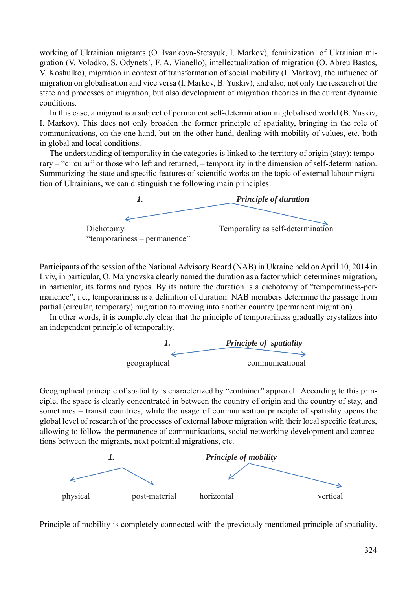working of Ukrainian migrants (O. Ivankova-Stetsyuk, I. Markov), feminization of Ukrainian migration (V. Volodko, S. Odynets', F. A. Vianello), intellectualization of migration (О. Abreu Bastos, V. Koshulko), migration in context of transformation of social mobility (I. Markov), the influence of migration on globalisation and vice versa (I. Markov, B. Yuskiv), and also, not only the research of the state and processes of migration, but also development of migration theories in the current dynamic conditions.

In this case, a migrant is a subject of permanent self-determination in globalised world (B. Yuskiv, I. Markov). This does not only broaden the former principle of spatiality, bringing in the role of communications, on the one hand, but on the other hand, dealing with mobility of values, etc. both in global and local conditions.

The understanding of temporality in the categories is linked to the territory of origin (stay): temporary – "circular" or those who left and returned, – temporality in the dimension of self-determination. Summarizing the state and specific features of scientific works on the topic of external labour migration of Ukrainians, we can distinguish the following main principles:



Participants of the session of the National Advisory Board (NAB) in Ukraine held on April 10, 2014 in Lviv, in particular, О. Malynovska clearly named the duration as a factor which determines migration, in particular, its forms and types. By its nature the duration is a dichotomy of "temporariness-permanence", i.e., temporariness is a definition of duration. NAB members determine the passage from partial (circular, temporary) migration to moving into another country (permanent migration).

In other words, it is completely clear that the principle of temporariness gradually crystalizes into an independent principle of temporality.



Geographical principle of spatiality is characterized by "container" approach. According to this principle, the space is clearly concentrated in between the country of origin and the country of stay, and sometimes – transit countries, while the usage of communication principle of spatiality opens the global level of research of the processes of external labour migration with their local specific features, allowing to follow the permanence of communications, social networking development and connections between the migrants, next potential migrations, etc.



Principle of mobility is completely connected with the previously mentioned principle of spatiality.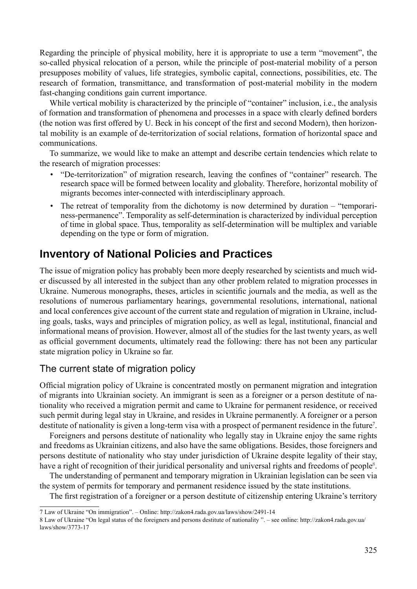Regarding the principle of physical mobility, here it is appropriate to use a term "movement", the so-called physical relocation of a person, while the principle of post-material mobility of a person presupposes mobility of values, life strategies, symbolic capital, connections, possibilities, etc. The research of formation, transmittance, and transformation of post-material mobility in the modern fast-changing conditions gain current importance.

While vertical mobility is characterized by the principle of "container" inclusion, i.e., the analysis of formation and transformation of phenomena and processes in a space with clearly defined borders (the notion was first offered by U. Beck in his concept of the first and second Modern), then horizontal mobility is an example of de-territorization of social relations, formation of horizontal space and communications.

To summarize, we would like to make an attempt and describe certain tendencies which relate to the research of migration processes:

- "De-territorization" of migration research, leaving the confines of "container" research. The research space will be formed between locality and globality. Therefore, horizontal mobility of migrants becomes inter-connected with interdisciplinary approach.
- The retreat of temporality from the dichotomy is now determined by duration "temporariness-permanence". Temporality as self-determination is characterized by individual perception of time in global space. Thus, temporality as self-determination will be multiplex and variable depending on the type or form of migration.

## **Inventory of National Policies and Practices**

The issue of migration policy has probably been more deeply researched by scientists and much wider discussed by all interested in the subject than any other problem related to migration processes in Ukraine. Numerous monographs, theses, articles in scientific journals and the media, as well as the resolutions of numerous parliamentary hearings, governmental resolutions, international, national and local conferences give account of the current state and regulation of migration in Ukraine, including goals, tasks, ways and principles of migration policy, as well as legal, institutional, financial and informational means of provision. However, almost all of the studies for the last twenty years, as well as official government documents, ultimately read the following: there has not been any particular state migration policy in Ukraine so far.

### The current state of migration policy

Official migration policy of Ukraine is concentrated mostly on permanent migration and integration of migrants into Ukrainian society. An immigrant is seen as a foreigner or a person destitute of nationality who received a migration permit and came to Ukraine for permanent residence, or received such permit during legal stay in Ukraine, and resides in Ukraine permanently. A foreigner or a person destitute of nationality is given a long-term visa with a prospect of permanent residence in the future<sup>7</sup>.

Foreigners and persons destitute of nationality who legally stay in Ukraine enjoy the same rights and freedoms as Ukrainian citizens, and also have the same obligations. Besides, those foreigners and persons destitute of nationality who stay under jurisdiction of Ukraine despite legality of their stay, have a right of recognition of their juridical personality and universal rights and freedoms of people<sup>8</sup>.

The understanding of permanent and temporary migration in Ukrainian legislation can be seen via the system of permits for temporary and permanent residence issued by the state institutions.

The first registration of a foreigner or a person destitute of citizenship entering Ukraine's territory

<sup>7</sup> Law of Ukraine "On immigration". – Online: http://zakon4.rada.gov.ua/laws/show/2491-14

<sup>8</sup> Law of Ukraine "On legal status of the foreigners and persons destitute of nationality ". – see online: http://zakon4.rada.gov.ua/ laws/show/3773-17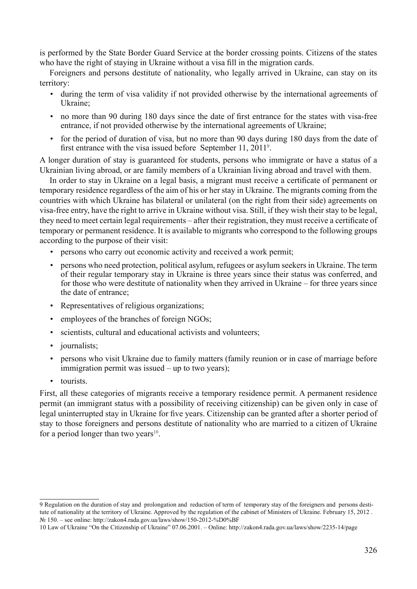is performed by the State Border Guard Service at the border crossing points. Citizens of the states who have the right of staying in Ukraine without a visa fill in the migration cards.

Foreigners and persons destitute of nationality, who legally arrived in Ukraine, can stay on its territory:

- during the term of visa validity if not provided otherwise by the international agreements of Ukraine;
- no more than 90 during 180 days since the date of first entrance for the states with visa-free entrance, if not provided otherwise by the international agreements of Ukraine;
- for the period of duration of visa, but no more than 90 days during 180 days from the date of first entrance with the visa issued before September 11,  $2011<sup>9</sup>$ .

A longer duration of stay is guaranteed for students, persons who immigrate or have a status of a Ukrainian living abroad, or are family members of a Ukrainian living abroad and travel with them.

In order to stay in Ukraine on a legal basis, a migrant must receive a certificate of permanent or temporary residence regardless of the aim of his or her stay in Ukraine. The migrants coming from the countries with which Ukraine has bilateral or unilateral (on the right from their side) agreements on visa-free entry, have the right to arrive in Ukraine without visa. Still, if they wish their stay to be legal, they need to meet certain legal requirements – after their registration, they must receive a certificate of temporary or permanent residence. It is available to migrants who correspond to the following groups according to the purpose of their visit:

- persons who carry out economic activity and received a work permit;
- persons who need protection, political asylum, refugees or asylum seekers in Ukraine. The term of their regular temporary stay in Ukraine is three years since their status was conferred, and for those who were destitute of nationality when they arrived in Ukraine – for three years since the date of entrance;
- Representatives of religious organizations;
- employees of the branches of foreign NGOs:
- scientists, cultural and educational activists and volunteers;
- *journalists*;
- persons who visit Ukraine due to family matters (family reunion or in case of marriage before immigration permit was issued – up to two years);
- tourists.

First, all these categories of migrants receive a temporary residence permit. A permanent residence permit (an immigrant status with a possibility of receiving citizenship) can be given only in case of legal uninterrupted stay in Ukraine for five years. Citizenship can be granted after a shorter period of stay to those foreigners and persons destitute of nationality who are married to a citizen of Ukraine for a period longer than two years $10$ .

<sup>9</sup> Regulation on the duration of stay and prolongation and reduction of term of temporary stay of the foreigners and persons destitute of nationality at the territory of Ukraine. Approved by the regulation of the cabinet of Ministers of Ukraine. February 15, 2012 . № 150. – see online: http://zakon4.rada.gov.ua/laws/show/150-2012-%D0%BF

<sup>10</sup> Law of Ukraine "On the Citizenship of Ukraine" 07.06.2001. – Online: http://zakon4.rada.gov.ua/laws/show/2235-14/page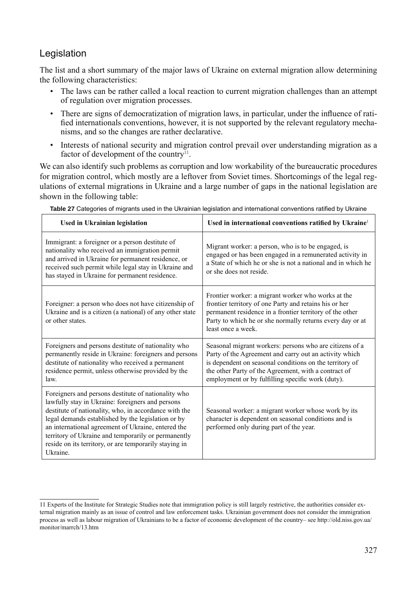### Legislation

The list and a short summary of the major laws of Ukraine on external migration allow determining the following characteristics:

- The laws can be rather called a local reaction to current migration challenges than an attempt of regulation over migration processes.
- There are signs of democratization of migration laws, in particular, under the influence of ratified internationals conventions, however, it is not supported by the relevant regulatory mechanisms, and so the changes are rather declarative.
- Interests of national security and migration control prevail over understanding migration as a factor of development of the country<sup>11</sup>.

We can also identify such problems as corruption and low workability of the bureaucratic procedures for migration control, which mostly are a leftover from Soviet times. Shortcomings of the legal regulations of external migrations in Ukraine and a large number of gaps in the national legislation are shown in the following table:

| <b>Used in Ukrainian legislation</b>                                                                                                                                                                                                                                                                                                                                                                      | Used in international conventions ratified by Ukraine <sup>1</sup>                                                                                                                                                                                                                        |
|-----------------------------------------------------------------------------------------------------------------------------------------------------------------------------------------------------------------------------------------------------------------------------------------------------------------------------------------------------------------------------------------------------------|-------------------------------------------------------------------------------------------------------------------------------------------------------------------------------------------------------------------------------------------------------------------------------------------|
| Immigrant: a foreigner or a person destitute of<br>nationality who received an immigration permit<br>and arrived in Ukraine for permanent residence, or<br>received such permit while legal stay in Ukraine and<br>has stayed in Ukraine for permanent residence.                                                                                                                                         | Migrant worker: a person, who is to be engaged, is<br>engaged or has been engaged in a remunerated activity in<br>a State of which he or she is not a national and in which he<br>or she does not reside.                                                                                 |
| Foreigner: a person who does not have citizenship of<br>Ukraine and is a citizen (a national) of any other state<br>or other states.                                                                                                                                                                                                                                                                      | Frontier worker: a migrant worker who works at the<br>frontier territory of one Party and retains his or her<br>permanent residence in a frontier territory of the other<br>Party to which he or she normally returns every day or at<br>least once a week.                               |
| Foreigners and persons destitute of nationality who<br>permanently reside in Ukraine: foreigners and persons<br>destitute of nationality who received a permanent<br>residence permit, unless otherwise provided by the<br>law.                                                                                                                                                                           | Seasonal migrant workers: persons who are citizens of a<br>Party of the Agreement and carry out an activity which<br>is dependent on seasonal conditions on the territory of<br>the other Party of the Agreement, with a contract of<br>employment or by fulfilling specific work (duty). |
| Foreigners and persons destitute of nationality who<br>lawfully stay in Ukraine: foreigners and persons<br>destitute of nationality, who, in accordance with the<br>legal demands established by the legislation or by<br>an international agreement of Ukraine, entered the<br>territory of Ukraine and temporarily or permanently<br>reside on its territory, or are temporarily staying in<br>Ukraine. | Seasonal worker: a migrant worker whose work by its<br>character is dependent on seasonal conditions and is<br>performed only during part of the year.                                                                                                                                    |

Table 27 Categories of migrants used in the Ukrainian legislation and international conventions ratified by Ukraine

<sup>11</sup> Experts of the Institute for Strategic Studies note that immigration policy is still largely restrictive, the authorities consider external migration mainly as an issue of control and law enforcement tasks. Ukrainian government does not consider the immigration process as well as labour migration of Ukrainians to be a factor of economic development of the country– see http://old.niss.gov.ua/ monitor/marrch/13.htm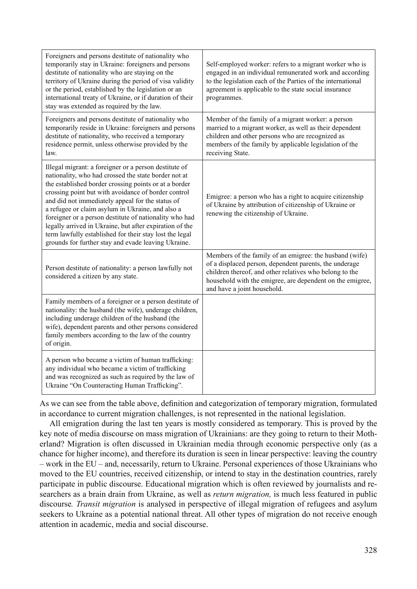| Foreigners and persons destitute of nationality who<br>temporarily stay in Ukraine: foreigners and persons<br>destitute of nationality who are staying on the<br>territory of Ukraine during the period of visa validity<br>or the period, established by the legislation or an<br>international treaty of Ukraine, or if duration of their<br>stay was extended as required by the law.                                                                                                                                                                                     | Self-employed worker: refers to a migrant worker who is<br>engaged in an individual remunerated work and according<br>to the legislation each of the Parties of the international<br>agreement is applicable to the state social insurance<br>programmes.                |
|------------------------------------------------------------------------------------------------------------------------------------------------------------------------------------------------------------------------------------------------------------------------------------------------------------------------------------------------------------------------------------------------------------------------------------------------------------------------------------------------------------------------------------------------------------------------------|--------------------------------------------------------------------------------------------------------------------------------------------------------------------------------------------------------------------------------------------------------------------------|
| Foreigners and persons destitute of nationality who<br>temporarily reside in Ukraine: foreigners and persons<br>destitute of nationality, who received a temporary<br>residence permit, unless otherwise provided by the<br>law.                                                                                                                                                                                                                                                                                                                                             | Member of the family of a migrant worker: a person<br>married to a migrant worker, as well as their dependent<br>children and other persons who are recognized as<br>members of the family by applicable legislation of the<br>receiving State.                          |
| Illegal migrant: a foreigner or a person destitute of<br>nationality, who had crossed the state border not at<br>the established border crossing points or at a border<br>crossing point but with avoidance of border control<br>and did not immediately appeal for the status of<br>a refugee or claim asylum in Ukraine, and also a<br>foreigner or a person destitute of nationality who had<br>legally arrived in Ukraine, but after expiration of the<br>term lawfully established for their stay lost the legal<br>grounds for further stay and evade leaving Ukraine. | Emigree: a person who has a right to acquire citizenship<br>of Ukraine by attribution of citizenship of Ukraine or<br>renewing the citizenship of Ukraine.                                                                                                               |
| Person destitute of nationality: a person lawfully not<br>considered a citizen by any state.                                                                                                                                                                                                                                                                                                                                                                                                                                                                                 | Members of the family of an emigree: the husband (wife)<br>of a displaced person, dependent parents, the underage<br>children thereof, and other relatives who belong to the<br>household with the emigree, are dependent on the emigree,<br>and have a joint household. |
| Family members of a foreigner or a person destitute of<br>nationality: the husband (the wife), underage children,<br>including underage children of the husband (the<br>wife), dependent parents and other persons considered<br>family members according to the law of the country<br>of origin.                                                                                                                                                                                                                                                                            |                                                                                                                                                                                                                                                                          |
| A person who became a victim of human trafficking:<br>any individual who became a victim of trafficking<br>and was recognized as such as required by the law of<br>Ukraine "On Counteracting Human Trafficking".                                                                                                                                                                                                                                                                                                                                                             |                                                                                                                                                                                                                                                                          |

As we can see from the table above, definition and categorization of temporary migration, formulated in accordance to current migration challenges, is not represented in the national legislation.

All emigration during the last ten years is mostly considered as temporary. This is proved by the key note of media discourse on mass migration of Ukrainians: are they going to return to their Motherland? Migration is often discussed in Ukrainian media through economic perspective only (as a chance for higher income), and therefore its duration is seen in linear perspective: leaving the country – work in the EU – and, necessarily, return to Ukraine. Personal experiences of those Ukrainians who moved to the EU countries, received citizenship, or intend to stay in the destination countries, rarely participate in public discourse. Educational migration which is often reviewed by journalists and researchers as a brain drain from Ukraine, as well as *return migration,* is much less featured in public discourse*. Transit migration* is analysed in perspective of illegal migration of refugees and asylum seekers to Ukraine as a potential national threat. All other types of migration do not receive enough attention in academic, media and social discourse.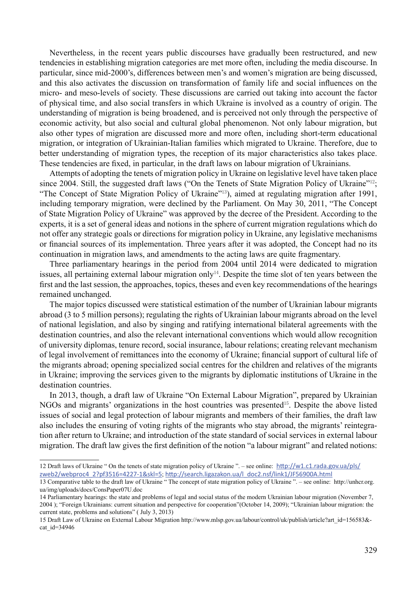Nevertheless, in the recent years public discourses have gradually been restructured, and new tendencies in establishing migration categories are met more often, including the media discourse. In particular, since mid-2000's, differences between men's and women's migration are being discussed, and this also activates the discussion on transformation of family life and social influences on the micro- and meso-levels of society. These discussions are carried out taking into account the factor of physical time, and also social transfers in which Ukraine is involved as a country of origin. The understanding of migration is being broadened, and is perceived not only through the perspective of economic activity, but also social and cultural global phenomenon. Not only labour migration, but also other types of migration are discussed more and more often, including short-term educational migration, or integration of Ukrainian-Italian families which migrated to Ukraine. Therefore, due to better understanding of migration types, the reception of its major characteristics also takes place. These tendencies are fixed, in particular, in the draft laws on labour migration of Ukrainians.

Attempts of adopting the tenets of migration policy in Ukraine on legislative level have taken place since 2004. Still, the suggested draft laws ("On the Tenets of State Migration Policy of Ukraine"<sup>12</sup>; "The Concept of State Migration Policy of Ukraine"<sup>13</sup>), aimed at regulating migration after 1991, including temporary migration, were declined by the Parliament. On May 30, 2011, "The Concept of State Migration Policy of Ukraine" was approved by the decree of the President. According to the experts, it is a set of general ideas and notions in the sphere of current migration regulations which do not offer any strategic goals or directions for migration policy in Ukraine, any legislative mechanisms or financial sources of its implementation. Three years after it was adopted, the Concept had no its continuation in migration laws, and amendments to the acting laws are quite fragmentary.

Three parliamentary hearings in the period from 2004 until 2014 were dedicated to migration issues, all pertaining external labour migration only<sup>14</sup>. Despite the time slot of ten years between the first and the last session, the approaches, topics, theses and even key recommendations of the hearings remained unchanged.

The major topics discussed were statistical estimation of the number of Ukrainian labour migrants abroad (3 to 5 million persons); regulating the rights of Ukrainian labour migrants abroad on the level of national legislation, and also by singing and ratifying international bilateral agreements with the destination countries, and also the relevant international conventions which would allow recognition of university diplomas, tenure record, social insurance, labour relations; creating relevant mechanism of legal involvement of remittances into the economy of Ukraine; financial support of cultural life of the migrants abroad; opening specialized social centres for the children and relatives of the migrants in Ukraine; improving the services given to the migrants by diplomatic institutions of Ukraine in the destination countries.

In 2013, though, a draft law of Ukraine "On External Labour Migration", prepared by Ukrainian NGOs and migrants' organizations in the host countries was presented<sup>15</sup>. Despite the above listed issues of social and legal protection of labour migrants and members of their families, the draft law also includes the ensuring of voting rights of the migrants who stay abroad, the migrants' reintegration after return to Ukraine; and introduction of the state standard of social services in external labour migration. The draft law gives the first definition of the notion "a labour migrant" and related notions:

<sup>12</sup> Draft laws of Ukraine " On the tenets of state migration policy of Ukraine ". – see online:  $\frac{http://w1.c1.rada.gov.ua/pls/}{http://w1.c1.rada.gov.ua/pls/}$ zweb2/webproc4\_2?pf3516=4227-1&skl=5; http://search.ligazakon.ua/l\_doc2.nsf/link1/JF56900A.html

<sup>13</sup> Comparative table to the draft law of Ukraine " The concept of state migration policy of Ukraine ". – see online: http://unhcr.org. ua/img/uploads/docs/ConsPaper07U.doc

<sup>14</sup> Parliamentary hearings: the state and problems of legal and social status of the modern Ukrainian labour migration (November 7, 2004 ); "Foreign Ukrainians: current situation and perspective for cooperation"(October 14, 2009); "Ukrainian labour migration: the current state, problems and solutions" ( July 3, 2013)

<sup>15</sup> Draft Law of Ukraine on External Labour Migration http://www.mlsp.gov.ua/labour/control/uk/publish/article?art\_id=156583& cat id=34946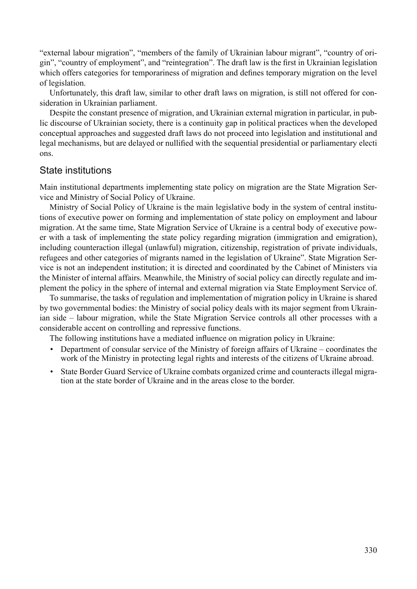"external labour migration", "members of the family of Ukrainian labour migrant", "country of origin", "country of employment", and "reintegration". The draft law is the first in Ukrainian legislation which offers categories for temporariness of migration and defines temporary migration on the level of legislation.

Unfortunately, this draft law, similar to other draft laws on migration, is still not offered for consideration in Ukrainian parliament.

Despite the constant presence of migration, and Ukrainian external migration in particular, in public discourse of Ukrainian society, there is a continuity gap in political practices when the developed conceptual approaches and suggested draft laws do not proceed into legislation and institutional and legal mechanisms, but are delayed or nullified with the sequential presidential or parliamentary electi ons.

#### State institutions

Main institutional departments implementing state policy on migration are the State Migration Service and Ministry of Social Policy of Ukraine.

Ministry of Social Policy of Ukraine is the main legislative body in the system of central institutions of executive power on forming and implementation of state policy on employment and labour migration. At the same time, State Migration Service of Ukraine is a central body of executive power with a task of implementing the state policy regarding migration (immigration and emigration), including counteraction illegal (unlawful) migration, citizenship, registration of private individuals, refugees and other categories of migrants named in the legislation of Ukraine". State Migration Service is not an independent institution; it is directed and coordinated by the Cabinet of Ministers via the Minister of internal affairs. Meanwhile, the Ministry of social policy can directly regulate and implement the policy in the sphere of internal and external migration via State Employment Service of.

To summarise, the tasks of regulation and implementation of migration policy in Ukraine is shared by two governmental bodies: the Ministry of social policy deals with its major segment from Ukrainian side – labour migration, while the State Migration Service controls all other processes with a considerable accent on controlling and repressive functions.

The following institutions have a mediated influence on migration policy in Ukraine:

- Department of consular service of the Ministry of foreign affairs of Ukraine coordinates the work of the Ministry in protecting legal rights and interests of the citizens of Ukraine abroad.
- State Border Guard Service of Ukraine combats organized crime and counteracts illegal migration at the state border of Ukraine and in the areas close to the border.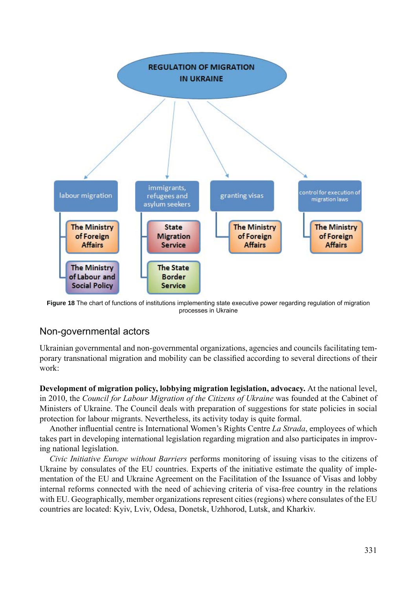

**Figure 18** The chart of functions of institutions implementing state executive power regarding regulation of migration processes in Ukraine

#### Non-governmental actors

Ukrainian governmental and non-governmental organizations, agencies and councils facilitating temporary transnational migration and mobility can be classified according to several directions of their work:

**Development of migration policy, lobbying migration legislation, advocacy.** At the national level, in 2010, the *Council for Labour Migration of the Citizens of Ukraine* was founded at the Cabinet of Ministers of Ukraine. The Council deals with preparation of suggestions for state policies in social protection for labour migrants. Nevertheless, its activity today is quite formal.

Another influential centre is International Women's Rights Centre *La Strada*, employees of which takes part in developing international legislation regarding migration and also participates in improving national legislation.

*Civic Initiative Europe without Barriers* performs monitoring of issuing visas to the citizens of Ukraine by consulates of the EU countries. Experts of the initiative estimate the quality of implementation of the EU and Ukraine Agreement on the Facilitation of the Issuance of Visas and lobby internal reforms connected with the need of achieving criteria of visa-free country in the relations with EU. Geographically, member organizations represent cities (regions) where consulates of the EU countries are located: Kyiv, Lviv, Odesa, Donetsk, Uzhhorod, Lutsk, and Kharkiv.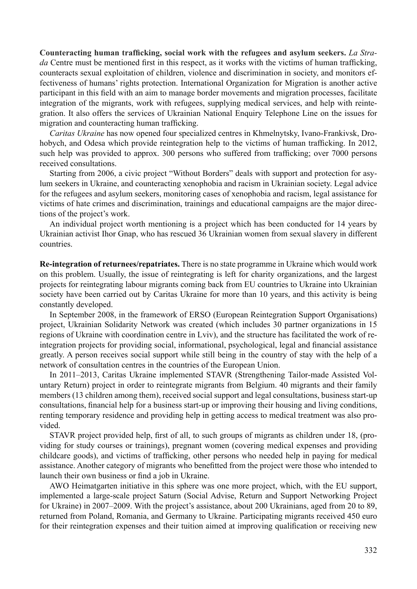Counteracting human trafficking, social work with the refugees and asylum seekers. *La Strada* Centre must be mentioned first in this respect, as it works with the victims of human trafficking, counteracts sexual exploitation of children, violence and discrimination in society, and monitors effectiveness of humans' rights protection. International Organization for Migration is another active participant in this field with an aim to manage border movements and migration processes, facilitate integration of the migrants, work with refugees, supplying medical services, and help with reintegration. It also offers the services of Ukrainian National Enquiry Telephone Line on the issues for migration and counteracting human trafficking.

*Caritas Ukraine* has now opened four specialized centres in Khmelnytsky, Ivano-Frankivsk, Drohobych, and Odesa which provide reintegration help to the victims of human trafficking. In 2012, such help was provided to approx. 300 persons who suffered from trafficking; over 7000 persons received consultations.

Starting from 2006, a civic project "Without Borders" deals with support and protection for asylum seekers in Ukraine, and counteracting xenophobia and racism in Ukrainian society. Legal advice for the refugees and asylum seekers, monitoring cases of xenophobia and racism, legal assistance for victims of hate crimes and discrimination, trainings and educational campaigns are the major directions of the project's work.

An individual project worth mentioning is a project which has been conducted for 14 years by Ukrainian activist Ihor Gnap, who has rescued 36 Ukrainian women from sexual slavery in different countries.

**Re-integration of returnees/repatriates.** There is no state programme in Ukraine which would work on this problem. Usually, the issue of reintegrating is left for charity organizations, and the largest projects for reintegrating labour migrants coming back from EU countries to Ukraine into Ukrainian society have been carried out by Caritas Ukraine for more than 10 years, and this activity is being constantly developed.

In September 2008, in the framework of ERSO (European Reintegration Support Organisations) project, Ukrainian Solidarity Network was created (which includes 30 partner organizations in 15 regions of Ukraine with coordination centre in Lviv), and the structure has facilitated the work of reintegration projects for providing social, informational, psychological, legal and financial assistance greatly. A person receives social support while still being in the country of stay with the help of a network of consultation centres in the countries of the European Union.

In 2011–2013, Caritas Ukraine implemented STAVR (Strengthening Tailor-made Assisted Voluntary Return) project in order to reintegrate migrants from Belgium. 40 migrants and their family members (13 children among them), received social support and legal consultations, business start-up consultations, financial help for a business start-up or improving their housing and living conditions, renting temporary residence and providing help in getting access to medical treatment was also provided.

STAVR project provided help, first of all, to such groups of migrants as children under 18, (providing for study courses or trainings), pregnant women (covering medical expenses and providing childcare goods), and victims of trafficking, other persons who needed help in paying for medical assistance. Another category of migrants who benefitted from the project were those who intended to launch their own business or find a job in Ukraine.

AWO Heimatgarten initiative in this sphere was one more project, which, with the EU support, implemented a large-scale project Saturn (Social Advise, Return and Support Networking Project for Ukraine) in 2007–2009. With the project's assistance, about 200 Ukrainians, aged from 20 to 89, returned from Poland, Romania, and Germany to Ukraine. Participating migrants received 450 euro for their reintegration expenses and their tuition aimed at improving qualification or receiving new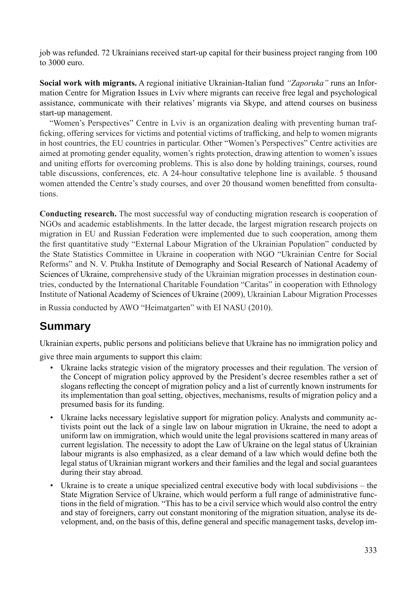job was refunded. 72 Ukrainians received start-up capital for their business project ranging from 100 to 3000 euro.

**Social work with migrants.** A regional initiative Ukrainian-Italian fund *"Zaporuka"* runs an Information Centre for Migration Issues in Lviv where migrants can receive free legal and psychological assistance, communicate with their relatives' migrants via Skype, and attend courses on business start-up management.

"Women's Perspectives" Centre in Lviv is an organization dealing with preventing human trafficking, offering services for victims and potential victims of trafficking, and help to women migrants in host countries, the EU countries in particular. Other "Women's Perspectives" Centre activities are aimed at promoting gender equality, women's rights protection, drawing attention to women's issues and uniting efforts for overcoming problems. This is also done by holding trainings, courses, round table discussions, conferences, etc. A 24-hour consultative telephone line is available. 5 thousand women attended the Centre's study courses, and over 20 thousand women benefitted from consultations.

**Conducting research.** The most successful way of conducting migration research is cooperation of NGOs and academic establishments. In the latter decade, the largest migration research projects on migration in EU and Russian Federation were implemented due to such cooperation, among them the first quantitative study "External Labour Migration of the Ukrainian Population" conducted by the State Statistics Committee in Ukraine in cooperation with NGO "Ukrainian Centre for Social Reforms" and N. V. Ptukha Institute of Demography and Social Research of National Academy of Sciences of Ukraine, comprehensive study of the Ukrainian migration processes in destination countries, conducted by the International Charitable Foundation "Caritas" in cooperation with Ethnology Institute of National Academy of Sciences of Ukraine (2009), Ukrainian Labour Migration Processes

in Russia conducted by AWO "Heimatgarten" with EI NASU (2010).

## **Summary**

Ukrainian experts, public persons and politicians believe that Ukraine has no immigration policy and

give three main arguments to support this claim:

- Ukraine lacks strategic vision of the migratory processes and their regulation. The version of the Concept of migration policy approved by the President's decree resembles rather a set of slogans reflecting the concept of migration policy and a list of currently known instruments for its implementation than goal setting, objectives, mechanisms, results of migration policy and a presumed basis for its funding.
- Ukraine lacks necessary legislative support for migration policy. Analysts and community activists point out the lack of a single law on labour migration in Ukraine, the need to adopt a uniform law on immigration, which would unite the legal provisions scattered in many areas of current legislation. The necessity to adopt the Law of Ukraine on the legal status of Ukrainian labour migrants is also emphasized, as a clear demand of a law which would define both the legal status of Ukrainian migrant workers and their families and the legal and social guarantees during their stay abroad.
- Ukraine is to create a unique specialized central executive body with local subdivisions the State Migration Service of Ukraine, which would perform a full range of administrative functions in the field of migration. "This has to be a civil service which would also control the entry and stay of foreigners, carry out constant monitoring of the migration situation, analyse its development, and, on the basis of this, define general and specific management tasks, develop im-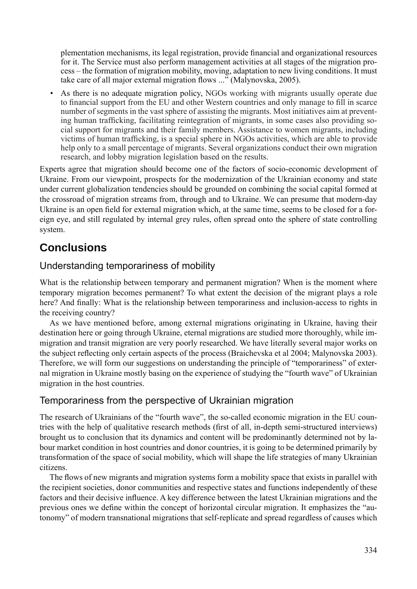plementation mechanisms, its legal registration, provide financial and organizational resources for it. The Service must also perform management activities at all stages of the migration process – the formation of migration mobility, moving, adaptation to new living conditions. It must take care of all major external migration flows ..." (Malynovska, 2005).

As there is no adequate migration policy, NGOs working with migrants usually operate due to financial support from the EU and other Western countries and only manage to fill in scarce number of segments in the vast sphere of assisting the migrants. Most initiatives aim at preventing human trafficking, facilitating reintegration of migrants, in some cases also providing social support for migrants and their family members. Assistance to women migrants, including victims of human trafficking, is a special sphere in NGOs activities, which are able to provide help only to a small percentage of migrants. Several organizations conduct their own migration research, and lobby migration legislation based on the results.

Experts agree that migration should become one of the factors of socio-economic development of Ukraine. From our viewpoint, prospects for the modernization of the Ukrainian economy and state under current globalization tendencies should be grounded on combining the social capital formed at the crossroad of migration streams from, through and to Ukraine. We can presume that modern-day Ukraine is an open field for external migration which, at the same time, seems to be closed for a foreign eye, and still regulated by internal grey rules, often spread onto the sphere of state controlling system.

## **Conclusions**

### Understanding temporariness of mobility

What is the relationship between temporary and permanent migration? When is the moment where temporary migration becomes permanent? To what extent the decision of the migrant plays a role here? And finally: What is the relationship between temporariness and inclusion-access to rights in the receiving country?

As we have mentioned before, among external migrations originating in Ukraine, having their destination here or going through Ukraine, eternal migrations are studied more thoroughly, while immigration and transit migration are very poorly researched. We have literally several major works on the subject reflecting only certain aspects of the process (Braichevska et al 2004; Malynovska 2003). Therefore, we will form our suggestions on understanding the principle of "temporariness" of external migration in Ukraine mostly basing on the experience of studying the "fourth wave" of Ukrainian migration in the host countries.

### Temporariness from the perspective of Ukrainian migration

The research of Ukrainians of the "fourth wave", the so-called economic migration in the EU countries with the help of qualitative research methods (first of all, in-depth semi-structured interviews) brought us to conclusion that its dynamics and content will be predominantly determined not by labour market condition in host countries and donor countries, it is going to be determined primarily by transformation of the space of social mobility, which will shape the life strategies of many Ukrainian citizens.

The flows of new migrants and migration systems form a mobility space that exists in parallel with the recipient societies, donor communities and respective states and functions independently of these factors and their decisive influence. A key difference between the latest Ukrainian migrations and the previous ones we define within the concept of horizontal circular migration. It emphasizes the "autonomy" of modern transnational migrations that self-replicate and spread regardless of causes which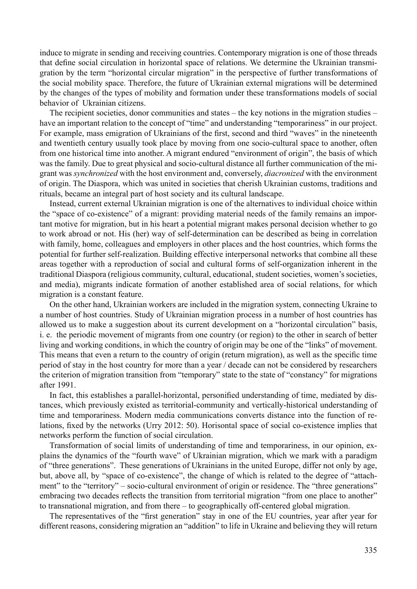induce to migrate in sending and receiving countries. Contemporary migration is one of those threads that define social circulation in horizontal space of relations. We determine the Ukrainian transmigration by the term "horizontal circular migration" in the perspective of further transformations of the social mobility space. Therefore, the future of Ukrainian external migrations will be determined by the changes of the types of mobility and formation under these transformations models of social behavior of Ukrainian citizens.

The recipient societies, donor communities and states – the key notions in the migration studies – have an important relation to the concept of "time" and understanding "temporariness" in our project. For example, mass emigration of Ukrainians of the first, second and third "waves" in the nineteenth and twentieth century usually took place by moving from one socio-cultural space to another, often from one historical time into another. A migrant endured "environment of origin", the basis of which was the family. Due to great physical and socio-cultural distance all further communication of the migrant was *synchronized* with the host environment and, conversely, *diacronized* with the environment of origin. The Diaspora, which was united in societies that cherish Ukrainian customs, traditions and rituals, became an integral part of host society and its cultural landscape.

Instead, current external Ukrainian migration is one of the alternatives to individual choice within the "space of co-existence" of a migrant: providing material needs of the family remains an important motive for migration, but in his heart a potential migrant makes personal decision whether to go to work abroad or not. His (her) way of self-determination can be described as being in correlation with family, home, colleagues and employers in other places and the host countries, which forms the potential for further self-realization. Building effective interpersonal networks that combine all these areas together with a reproduction of social and cultural forms of self-organization inherent in the traditional Diaspora (religious community, cultural, educational, student societies, women's societies, and media), migrants indicate formation of another established area of social relations, for which migration is a constant feature.

On the other hand, Ukrainian workers are included in the migration system, connecting Ukraine to a number of host countries. Study of Ukrainian migration process in a number of host countries has allowed us to make a suggestion about its current development on a "horizontal circulation" basis, i. e. the periodic movement of migrants from one country (or region) to the other in search of better living and working conditions, in which the country of origin may be one of the "links" of movement. This means that even a return to the country of origin (return migration), as well as the specific time period of stay in the host country for more than a year / decade can not be considered by researchers the criterion of migration transition from "temporary" state to the state of "constancy" for migrations after 1991.

In fact, this establishes a parallel-horizontal, personified understanding of time, mediated by distances, which previously existed as territorial-community and vertically-historical understanding of time and temporariness. Modern media communications converts distance into the function of relations, fixed by the networks (Urry 2012: 50). Horisontal space of social co-existence implies that networks perform the function of social circulation.

Transformation of social limits of understanding of time and temporariness, in our opinion, explains the dynamics of the "fourth wave" of Ukrainian migration, which we mark with a paradigm of "three generations". These generations of Ukrainians in the united Europe, differ not only by age, but, above all, by "space of co-existence", the change of which is related to the degree of "attachment" to the "territory" – socio-cultural environment of origin or residence. The "three generations" embracing two decades reflects the transition from territorial migration "from one place to another" to transnational migration, and from there – to geographically off-centered global migration.

The representatives of the "first generation" stay in one of the EU countries, year after year for different reasons, considering migration an "addition" to life in Ukraine and believing they will return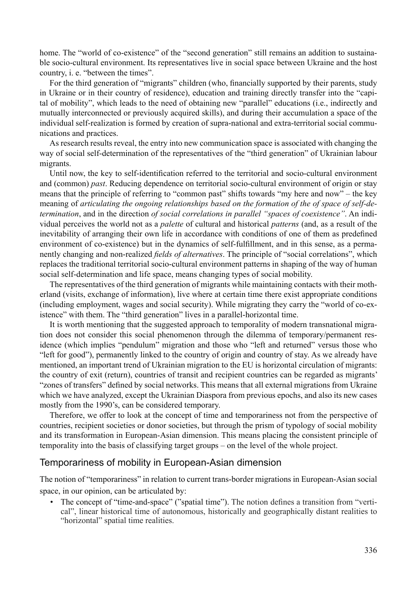home. The "world of co-existence" of the "second generation" still remains an addition to sustainable socio-cultural environment. Its representatives live in social space between Ukraine and the host country, i. e. "between the times".

For the third generation of "migrants" children (who, financially supported by their parents, study in Ukraine or in their country of residence), education and training directly transfer into the "capital of mobility", which leads to the need of obtaining new "parallel" educations (i.e., indirectly and mutually interconnected or previously acquired skills), and during their accumulation a space of the individual self-realization is formed by creation of supra-national and extra-territorial social communications and practices.

As research results reveal, the entry into new communication space is associated with changing the way of social self-determination of the representatives of the "third generation" of Ukrainian labour migrants.

Until now, the key to self-identification referred to the territorial and socio-cultural environment and (common) *past*. Reducing dependence on territorial socio-cultural environment of origin or stay means that the principle of referring to "common past" shifts towards "my here and now" – the key meaning of *articulating the ongoing relationships based on the formation of the of space of self-determination*, and in the direction *of social correlations in parallel "spaces of coexistence"*. An individual perceives the world not as a *palette* of cultural and historical *patterns* (and, as a result of the inevitability of arranging their own life in accordance with conditions of one of them as predefined environment of co-existence) but in the dynamics of self-fulfillment, and in this sense, as a permanently changing and non-realized *fields of alternatives*. The principle of "social correlations", which replaces the traditional territorial socio-cultural environment patterns in shaping of the way of human social self-determination and life space, means changing types of social mobility.

The representatives of the third generation of migrants while maintaining contacts with their motherland (visits, exchange of information), live where at certain time there exist appropriate conditions (including employment, wages and social security). While migrating they carry the "world of co-existence" with them. The "third generation" lives in a parallel-horizontal time.

It is worth mentioning that the suggested approach to temporality of modern transnational migration does not consider this social phenomenon through the dilemma of temporary/permanent residence (which implies "pendulum" migration and those who "left and returned" versus those who "left for good"), permanently linked to the country of origin and country of stay. As we already have mentioned, an important trend of Ukrainian migration to the EU is horizontal circulation of migrants: the country of exit (return), countries of transit and recipient countries can be regarded as migrants' "zones of transfers" defined by social networks. This means that all external migrations from Ukraine which we have analyzed, except the Ukrainian Diaspora from previous epochs, and also its new cases mostly from the 1990's, can be considered temporary.

Therefore, we offer to look at the concept of time and temporariness not from the perspective of countries, recipient societies or donor societies, but through the prism of typology of social mobility and its transformation in European-Asian dimension. This means placing the consistent principle of temporality into the basis of classifying target groups – on the level of the whole project.

#### Temporariness of mobility in European-Asian dimension

The notion of "temporariness" in relation to current trans-border migrations in European-Asian social space, in our opinion, can be articulated by:

The concept of "time-and-space" ("spatial time"). The notion defines a transition from "vertical", linear historical time of autonomous, historically and geographically distant realities to "horizontal" spatial time realities.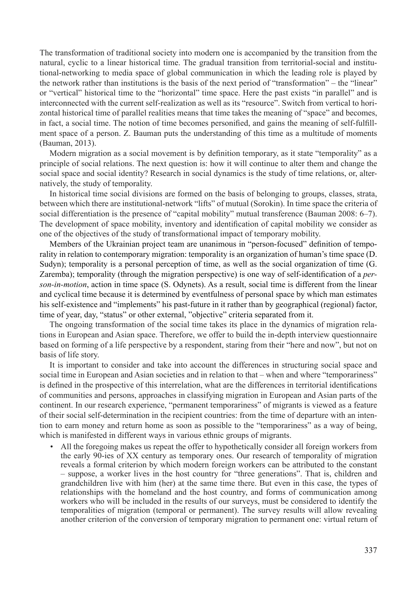The transformation of traditional society into modern one is accompanied by the transition from the natural, cyclic to a linear historical time. The gradual transition from territorial-social and institutional-networking to media space of global communication in which the leading role is played by the network rather than institutions is the basis of the next period of "transformation" – the "linear" or "vertical" historical time to the "horizontal" time space. Here the past exists "in parallel" and is interconnected with the current self-realization as well as its "resource". Switch from vertical to horizontal historical time of parallel realities means that time takes the meaning of "space" and becomes, in fact, a social time. The notion of time becomes personified, and gains the meaning of self-fulfillment space of a person. Z. Bauman puts the understanding of this time as a multitude of moments (Bauman, 2013).

Modern migration as a social movement is by definition temporary, as it state "temporality" as a principle of social relations. The next question is: how it will continue to alter them and change the social space and social identity? Research in social dynamics is the study of time relations, or, alternatively, the study of temporality.

In historical time social divisions are formed on the basis of belonging to groups, classes, strata, between which there are institutional-network "lifts" of mutual (Sorokin). In time space the criteria of social differentiation is the presence of "capital mobility" mutual transference (Bauman 2008: 6–7). The development of space mobility, inventory and identification of capital mobility we consider as one of the objectives of the study of transformational impact of temporary mobility.

Members of the Ukrainian project team are unanimous in "person-focused" definition of temporality in relation to contemporary migration: temporality is an organization of human's time space (D. Sudyn); temporality is a personal perception of time, as well as the social organization of time (G. Zaremba); temporality (through the migration perspective) is one way of self-identification of a *person-in-motion*, action in time space (S. Odynets). As a result, social time is different from the linear and cyclical time because it is determined by eventfulness of personal space by which man estimates his self-existence and "implements" his past-future in it rather than by geographical (regional) factor, time of year, day, "status" or other external, "objective" criteria separated from it.

The ongoing transformation of the social time takes its place in the dynamics of migration relations in European and Asian space. Therefore, we offer to build the in-depth interview questionnaire based on forming of a life perspective by a respondent, staring from their "here and now", but not on basis of life story.

It is important to consider and take into account the differences in structuring social space and social time in European and Asian societies and in relation to that – when and where "temporariness" is defined in the prospective of this interrelation, what are the differences in territorial identifications of communities and persons, approaches in classifying migration in European and Asian parts of the continent. In our research experience, "permanent temporariness" of migrants is viewed as a feature of their social self-determination in the recipient countries: from the time of departure with an intention to earn money and return home as soon as possible to the "temporariness" as a way of being, which is manifested in different ways in various ethnic groups of migrants.

• All the foregoing makes us repeat the offer to hypothetically consider all foreign workers from the early 90-ies of XX century as temporary ones. Our research of temporality of migration reveals a formal criterion by which modern foreign workers can be attributed to the constant – suppose, a worker lives in the host country for "three generations". That is, children and grandchildren live with him (her) at the same time there. But even in this case, the types of relationships with the homeland and the host country, and forms of communication among workers who will be included in the results of our surveys, must be considered to identify the temporalities of migration (temporal or permanent). The survey results will allow revealing another criterion of the conversion of temporary migration to permanent one: virtual return of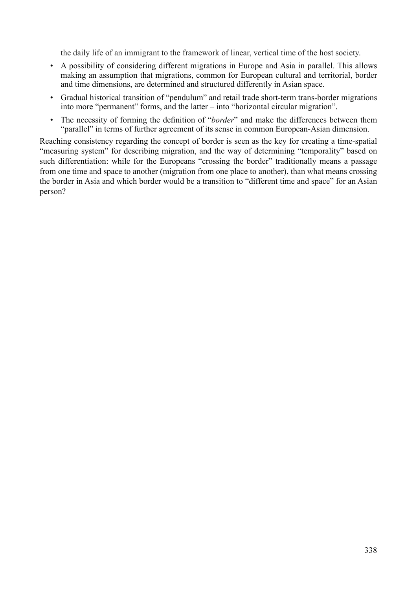the daily life of an immigrant to the framework of linear, vertical time of the host society.

- A possibility of considering different migrations in Europe and Asia in parallel. This allows making an assumption that migrations, common for European cultural and territorial, border and time dimensions, are determined and structured differently in Asian space.
- Gradual historical transition of "pendulum" and retail trade short-term trans-border migrations into more "permanent" forms, and the latter – into "horizontal circular migration".
- The necessity of forming the definition of "*border*" and make the differences between them "parallel" in terms of further agreement of its sense in common European-Asian dimension.

Reaching consistency regarding the concept of border is seen as the key for creating a time-spatial "measuring system" for describing migration, and the way of determining "temporality" based on such differentiation: while for the Europeans "crossing the border" traditionally means a passage from one time and space to another (migration from one place to another), than what means crossing the border in Asia and which border would be a transition to "different time and space" for an Asian person?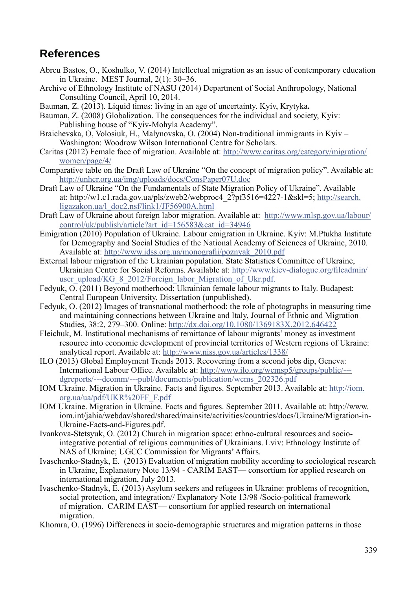## **References**

- Abreu Bastos, O., Koshulko, V. (2014) Intellectual migration as an issue of contemporary education in Ukraine. MEST Journal, 2(1): 30–36.
- Archive of Ethnology Institute of NASU (2014) Department of Social Anthropology, National Consulting Council, April 10, 2014.
- Bauman, Z. (2013). Liquid times: living in an age of uncertainty. Kyiv, Krytyka**.**
- Bauman, Z. (2008) Globalization. The consequences for the individual and society, Kyiv: Publishing house of "Kyiv-Mohyla Academy".
- Braichevska, O, Volosiuk, H., Malynovska, O. (2004) Non-traditional immigrants in Kyiv Washington: Woodrow Wilson International Centre for Scholars.
- Caritas (2012) Female face of migration. Available at: http://www.caritas.org/category/migration/ women/page/4/
- Comparative table on the Draft Law of Ukraine "On the concept of migration policy". Available at: http://unhcr.org.ua/img/uploads/docs/ConsPaper07U.doc
- Draft Law of Ukraine "On the Fundamentals of State Migration Policy of Ukraine". Available at: http://w1.c1.rada.gov.ua/pls/zweb2/webproc4\_2?pf3516=4227-1&skl=5; http://search. ligazakon.ua/l\_doc2.nsf/link1/JF56900A.html
- Draft Law of Ukraine about foreign labor migration. Available at: http://www.mlsp.gov.ua/labour/ control/uk/publish/article?art\_id=156583&cat\_id=34946
- Emigration (2010) Population of Ukraine. Labour emigration in Ukraine. Kyiv: M.Ptukha Institute for Demography and Social Studies of the National Academy of Sciences of Ukraine, 2010. Available at: http://www.idss.org.ua/monografii/poznyak\_2010.pdf
- External labour migration of the Ukrainian population. State Statistics Committee of Ukraine, Ukrainian Centre for Social Reforms. Available at: http://www.kiev-dialogue.org/fileadmin/ user\_upload/KG\_8\_2012/Foreign\_labor\_Migration\_of\_Ukr.pdf.
- Fedyuk, O. (2011) Beyond motherhood: Ukrainian female labour migrants to Italy. Budapest: Central European University. Dissertation (unpublished).
- Fedyuk, O. (2012) Images of transnational motherhood: the role of photographs in measuring time and maintaining connections between Ukraine and Italy, Journal of Ethnic and Migration Studies, 38:2, 279–300. Online: http://dx.doi.org/10.1080/1369183X.2012.646422
- Fleichuk, M. Institutional mechanisms of remittance of labour migrants' money as investment resource into economic development of provincial territories of Western regions of Ukraine: analytical report. Available at: http://www.niss.gov.ua/articles/1338/
- ILO (2013) Global Employment Trends 2013. Recovering from a second jobs dip, Geneva: International Labour Office. Available at: http://www.ilo.org/wcmsp5/groups/public/--dgreports/---dcomm/---publ/documents/publication/wcms\_202326.pdf
- IOM Ukraine. Migration in Ukraine. Facts and figures. September 2013. Available at: http://iom. org.ua/ua/pdf/UKR%20FF\_F.pdf
- IOM Ukraine. Migration in Ukraine. Facts and figures. September 2011. Available at: http://www. iom.int/jahia/webdav/shared/shared/mainsite/activities/countries/docs/Ukraine/Migration-in-Ukraine-Facts-and-Figures.pdf.
- Ivankova-Stetsyuk, O. (2012) Church in migration space: ethno-cultural resources and sociointegrative potential of religious communities of Ukrainians. Lviv: Ethnology Institute of NAS of Ukraine; UGCC Commission for Migrants' Affairs.
- Ivaschenko-Stadnyk, E. (2013) Evaluation of migration mobility according to sociological research in Ukraine, Explanatory Note 13/94 - CARIM EAST— consortium for applied research on international migration, July 2013.
- Ivaschenko-Stadnyk, E. (2013) Asylum seekers and refugees in Ukraine: problems of recognition, social protection, and integration// Explanatory Note 13/98 /Socio-political framework of migration. CARIM EAST— consortium for applied research on international migration.
- Khomra, O. (1996) Differences in socio-demographic structures and migration patterns in those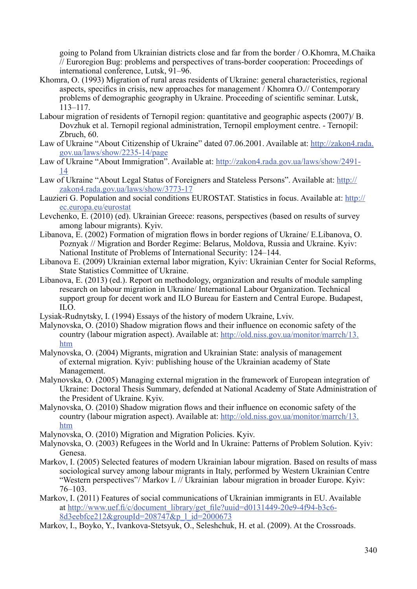going to Poland from Ukrainian districts close and far from the border / O.Khomra, M.Chaika // Euroregion Bug: problems and perspectives of trans-border cooperation: Proceedings of international conference, Lutsk, 91–96.

- Khomra, O. (1993) Migration of rural areas residents of Ukraine: general characteristics, regional aspects, specifics in crisis, new approaches for management / Khomra  $O$  // Contemporary problems of demographic geography in Ukraine. Proceeding of scientific seminar. Lutsk, 113–117.
- Labour migration of residents of Ternopil region: quantitative and geographic aspects (2007)/ B. Dovzhuk et al. Ternopil regional administration, Ternopil employment centre. - Ternopil: Zbruch, 60.
- Law of Ukraine "About Citizenship of Ukraine" dated 07.06.2001. Available at: http://zakon4.rada. gov.ua/laws/show/2235-14/page
- Law of Ukraine "About Immigration". Available at: http://zakon4.rada.gov.ua/laws/show/2491- 14
- Law of Ukraine "About Legal Status of Foreigners and Stateless Persons". Available at: http:// zakon4.rada.gov.ua/laws/show/3773-17
- Lauzieri G. Population and social conditions EUROSTAT. Statistics in focus. Available at: http:// ec.europa.eu/eurostat
- Levchenko, E. (2010) (ed). Ukrainian Greece: reasons, perspectives (based on results of survey among labour migrants). Kyiv.
- Libanova, E. (2002) Formation of migration flows in border regions of Ukraine/ E. Libanova, O. Poznyak // Migration and Border Regime: Belarus, Moldova, Russia and Ukraine. Kyiv: National Institute of Problems of International Security: 124–144.
- Libanova E. (2009) Ukrainian external labor migration, Kyiv: Ukrainian Center for Social Reforms, State Statistics Committee of Ukraine.
- Libanova, E. (2013) (ed.). Report on methodology, organization and results of module sampling research on labour migration in Ukraine/ International Labour Organization. Technical support group for decent work and ILO Bureau for Eastern and Central Europe. Budapest, ILO.
- Lysiak-Rudnytsky, I. (1994) Essays of the history of modern Ukraine, Lviv.
- Malynovska,  $O(2010)$  Shadow migration flows and their influence on economic safety of the country (labour migration aspect). Available at: http://old.niss.gov.ua/monitor/marrch/13. htm
- Malynovska, O. (2004) Migrants, migration and Ukrainian State: analysis of management of external migration. Kyiv: publishing house of the Ukrainian academy of State Management.
- Malynovska, O. (2005) Managing external migration in the framework of European integration of Ukraine: Doctoral Thesis Summary, defended at National Academy of State Administration of the President of Ukraine. Kyiv.
- Malynovska, O. (2010) Shadow migration flows and their influence on economic safety of the country (labour migration aspect). Available at: http://old.niss.gov.ua/monitor/marrch/13. htm
- Malynovska, O. (2010) Migration and Migration Policies. Kyiv.
- Malynovska, О. (2003) Refugees in the World and In Ukraine: Patterns of Problem Solution. Kyiv: Genesa.
- Markov, I. (2005) Selected features of modern Ukrainian labour migration. Based on results of mass sociological survey among labour migrants in Italy, performed by Western Ukrainian Centre "Western perspectives"/ Markov I. // Ukrainian labour migration in broader Europe. Kyiv: 76–103.
- Markov, I. (2011) Features of social communications of Ukrainian immigrants in EU. Available at http://www.uef.fi/c/document\_library/get\_file?uuid=d0131449-20e9-4f94-b3c6-8d3eebfce212&groupId=208747&p\_l\_id=2000673
- Markov, I., Boyko, Y., Ivankova-Stetsyuk, O., Seleshchuk, H. et al. (2009). At the Crossroads.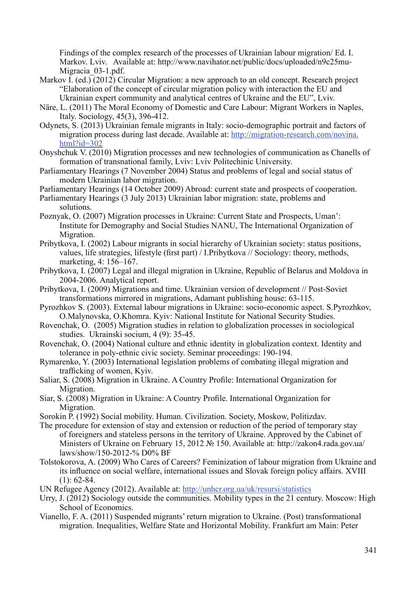Findings of the complex research of the processes of Ukrainian labour migration/ Ed. І. Markov. Lviv. Available at: http://www.navihator.net/public/docs/uploaded/n9c25mu-Migracia\_03-1.pdf.

- Markov I. (ed.) (2012) Circular Migration: a new approach to an old concept. Research project "Elaboration of the concept of circular migration policy with interaction the EU and Ukrainian expert community and analytical centres of Ukraine and the EU", Lviv.
- Näre, L. (2011) The Moral Economy of Domestic and Care Labour: Migrant Workers in Naples, Italy. Sociology, 45(3), 396-412.
- Odynets, S. (2013) Ukrainian female migrants in Italy: socio-demographic portrait and factors of migration process during last decade. Available at: http://migration-research.com/novina. html?id=302
- Оnyshchuk V. (2010) Migration processes and new technologies of communication as Chanells of formation of transnational family, Lviv: Lviv Politechinic University.
- Parliamentary Hearings (7 November 2004) Status and problems of legal and social status of modern Ukrainian labor migration.
- Parliamentary Hearings (14 October 2009) Abroad: current state and prospects of cooperation.
- Parliamentary Hearings (3 July 2013) Ukrainian labor migration: state, problems and solutions.
- Poznyak, O. (2007) Migration processes in Ukraine: Current State and Prospects, Uman': Institute for Demography and Social Studies NANU, The International Organization of Migration.
- Pribytkova, I. (2002) Labour migrants in social hierarchy of Ukrainian society: status positions, values, life strategies, lifestyle (first part) / I.Pribytkova // Sociology: theory, methods, marketing, 4: 156–167.
- Pribytkova, I. (2007) Legal and illegal migration in Ukraine, Republic of Belarus and Moldova in 2004-2006. Analytical report.
- Pribytkova, I. (2009) Migrations and time. Ukrainian version of development // Post-Soviet transformations mirrored in migrations, Adamant publishing house: 63-115.
- Pyrozhkov S. (2003). External labour migrations in Ukraine: socio-economic aspect. S.Pyrozhkov, O.Malynovska, O.Khomra. Kyiv: National Institute for National Security Studies.
- Rovenchak, O. (2005) Migration studies in relation to globalization processes in sociological studies. Ukrainski socium, 4 (9): 35-45.
- Rovenchak, O. (2004) National culture and ethnic identity in globalization context. Identity and tolerance in poly-ethnic civic society. Seminar proceedings: 190-194.
- Rymarenko, Y. (2003) International legislation problems of combating illegal migration and trafficking of women, Kyiv.
- Saliar, S. (2008) Migration in Ukraine. A Country Profile: International Organization for Migration.
- Siar, S. (2008) Migration in Ukraine: A Country Profile. International Organization for Migration.
- Sorokin P. (1992) Social mobility. Human. Civilization. Society, Moskow, Politizdav.
- The procedure for extension of stay and extension or reduction of the period of temporary stay of foreigners and stateless persons in the territory of Ukraine. Approved by the Cabinet of Ministers of Ukraine on February 15, 2012 № 150. Available at: http://zakon4.rada.gov.ua/ laws/show/150-2012-% D0% BF
- Tolstokorova, A. (2009) Who Cares of Careers? Feminization of labour migration from Ukraine and its influence on social welfare, international issues and Slovak foreign policy affairs. XVIII  $(1): 62 - 84.$
- UN Refugee Agency (2012). Available at: http://unhcr.org.ua/uk/resursi/statistics
- Urry, J. (2012) Sociology outside the communities. Mobility types in the 21 century. Moscow: High School of Economics.
- Vianello, F. A. (2011) Suspended migrants' return migration to Ukraine. (Post) transformational migration. Inequalities, Welfare State and Horizontal Mobility. Frankfurt am Main: Peter